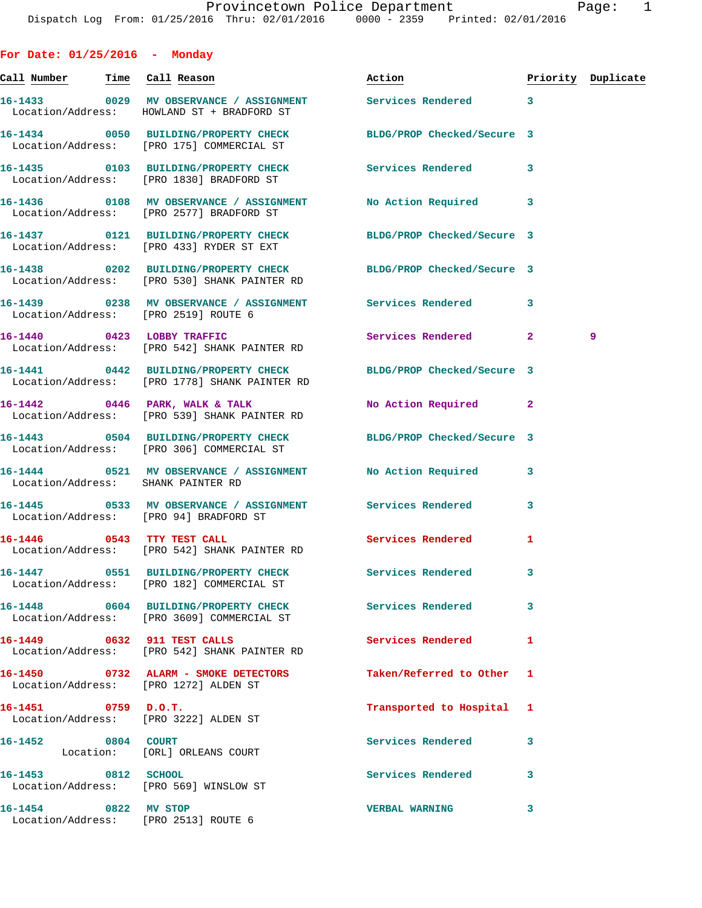**For Date: 01/25/2016 - Monday**

Location/Address: [PRO 2513] ROUTE 6

**Call Number Time Call Reason Action Priority Duplicate 16-1433 0029 MV OBSERVANCE / ASSIGNMENT Services Rendered 3**  Location/Address: HOWLAND ST + BRADFORD ST **16-1434 0050 BUILDING/PROPERTY CHECK BLDG/PROP Checked/Secure 3**  Location/Address: [PRO 175] COMMERCIAL ST **16-1435 0103 BUILDING/PROPERTY CHECK Services Rendered 3**  Location/Address: [PRO 1830] BRADFORD ST **16-1436 0108 MV OBSERVANCE / ASSIGNMENT No Action Required 3**  Location/Address: [PRO 2577] BRADFORD ST **16-1437 0121 BUILDING/PROPERTY CHECK BLDG/PROP Checked/Secure 3**  Location/Address: [PRO 433] RYDER ST EXT **16-1438 0202 BUILDING/PROPERTY CHECK BLDG/PROP Checked/Secure 3**  Location/Address: [PRO 530] SHANK PAINTER RD **16-1439 0238 MV OBSERVANCE / ASSIGNMENT Services Rendered 3**  Location/Address: [PRO 2519] ROUTE 6 **16-1440 0423 LOBBY TRAFFIC Services Rendered 2 9**  Location/Address: [PRO 542] SHANK PAINTER RD **16-1441 0442 BUILDING/PROPERTY CHECK BLDG/PROP Checked/Secure 3**  Location/Address: [PRO 1778] SHANK PAINTER RD **16-1442 0446 PARK, WALK & TALK No Action Required 2**  Location/Address: [PRO 539] SHANK PAINTER RD **16-1443 0504 BUILDING/PROPERTY CHECK BLDG/PROP Checked/Secure 3**  Location/Address: [PRO 306] COMMERCIAL ST **16-1444 0521 MV OBSERVANCE / ASSIGNMENT No Action Required 3**  Location/Address: SHANK PAINTER RD **16-1445 0533 MV OBSERVANCE / ASSIGNMENT Services Rendered 3**  Location/Address: [PRO 94] BRADFORD ST 16-1446 **0543** TTY TEST CALL **16-1446** Services Rendered 1 Location/Address: [PRO 542] SHANK PAINTER RD **16-1447 0551 BUILDING/PROPERTY CHECK Services Rendered 3**  Location/Address: [PRO 182] COMMERCIAL ST **16-1448 0604 BUILDING/PROPERTY CHECK Services Rendered 3**  Location/Address: [PRO 3609] COMMERCIAL ST **16-1449 0632 911 TEST CALLS Services Rendered 1**  Location/Address: [PRO 542] SHANK PAINTER RD **16-1450 0732 ALARM - SMOKE DETECTORS Taken/Referred to Other 1**  Location/Address: [PRO 1272] ALDEN ST **16-1451 0759 D.O.T. Transported to Hospital 1**  Location/Address: [PRO 3222] ALDEN ST **16-1452 0804 COURT Services Rendered 3**  Location: [ORL] ORLEANS COURT **16-1453 0812 SCHOOL Services Rendered 3**  Location/Address: [PRO 569] WINSLOW ST **16-1454 0822 MV STOP VERBAL WARNING 3**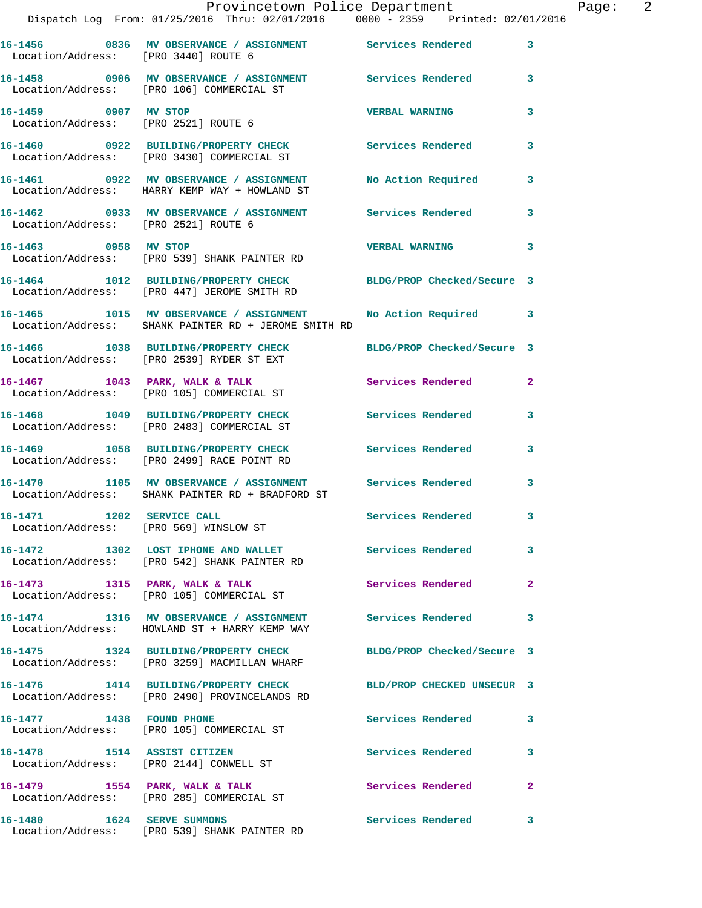|                                        | Provincetown Police Department<br>Dispatch Log From: 01/25/2016 Thru: 02/01/2016 0000 - 2359 Printed: 02/01/2016     |                            |              |
|----------------------------------------|----------------------------------------------------------------------------------------------------------------------|----------------------------|--------------|
|                                        | 16-1456  0836 MV OBSERVANCE / ASSIGNMENT  Services Rendered<br>Location/Address: [PRO 3440] ROUTE 6                  |                            | 3            |
|                                        | 16-1458 0906 MV OBSERVANCE / ASSIGNMENT Services Rendered<br>Location/Address: [PRO 106] COMMERCIAL ST               |                            | 3            |
| 16-1459 0907 MV STOP                   | Location/Address: [PRO 2521] ROUTE 6                                                                                 | <b>VERBAL WARNING</b>      | 3            |
|                                        | 16-1460 0922 BUILDING/PROPERTY CHECK Services Rendered<br>Location/Address: [PRO 3430] COMMERCIAL ST                 |                            | 3            |
|                                        | 16-1461 0922 MV OBSERVANCE / ASSIGNMENT No Action Required<br>Location/Address: HARRY KEMP WAY + HOWLAND ST          |                            | 3            |
| Location/Address: [PRO 2521] ROUTE 6   | 16-1462 0933 MV OBSERVANCE / ASSIGNMENT Services Rendered                                                            |                            | 3            |
| 16-1463 0958 MV STOP                   | Location/Address: [PRO 539] SHANK PAINTER RD                                                                         | <b>VERBAL WARNING</b>      | 3            |
|                                        | 16-1464 1012 BUILDING/PROPERTY CHECK<br>Location/Address: [PRO 447] JEROME SMITH RD                                  | BLDG/PROP Checked/Secure 3 |              |
|                                        | 16-1465 1015 MV OBSERVANCE / ASSIGNMENT No Action Required 3<br>Location/Address: SHANK PAINTER RD + JEROME SMITH RD |                            |              |
|                                        | 16-1466 1038 BUILDING/PROPERTY CHECK BLDG/PROP Checked/Secure 3<br>Location/Address: [PRO 2539] RYDER ST EXT         |                            |              |
|                                        | 16-1467 1043 PARK, WALK & TALK<br>Location/Address: [PRO 105] COMMERCIAL ST                                          | Services Rendered          | $\mathbf{2}$ |
|                                        | 16-1468 1049 BUILDING/PROPERTY CHECK<br>Location/Address: [PRO 2483] COMMERCIAL ST                                   | Services Rendered          | 3            |
|                                        | 16-1469 1058 BUILDING/PROPERTY CHECK<br>Location/Address: [PRO 2499] RACE POINT RD                                   | Services Rendered          | 3            |
|                                        | 16-1470 1105 MV OBSERVANCE / ASSIGNMENT<br>Location/Address: SHANK PAINTER RD + BRADFORD ST                          | Services Rendered          | $\mathbf{3}$ |
| Location/Address: [PRO 569] WINSLOW ST | 16-1471 1202 SERVICE CALL                                                                                            | Services Rendered          |              |
|                                        | 16-1472 1302 LOST IPHONE AND WALLET Services Rendered<br>Location/Address: [PRO 542] SHANK PAINTER RD                |                            | $\mathbf{3}$ |
|                                        | 16-1473 1315 PARK, WALK & TALK<br>Location/Address: [PRO 105] COMMERCIAL ST                                          | Services Rendered          | $\mathbf{2}$ |
|                                        | 16-1474 1316 MV OBSERVANCE / ASSIGNMENT<br>Location/Address: HOWLAND ST + HARRY KEMP WAY                             | Services Rendered          | 3            |
|                                        | 16-1475 1324 BUILDING/PROPERTY CHECK<br>Location/Address: [PRO 3259] MACMILLAN WHARF                                 | BLDG/PROP Checked/Secure 3 |              |
|                                        | 16-1476 1414 BUILDING/PROPERTY CHECK<br>Location/Address: [PRO 2490] PROVINCELANDS RD                                | BLD/PROP CHECKED UNSECUR 3 |              |
| 16-1477 1438 FOUND PHONE               | Location/Address: [PRO 105] COMMERCIAL ST                                                                            | Services Rendered          | 3            |
|                                        | 16-1478 1514 ASSIST CITIZEN<br>Location/Address: [PRO 2144] CONWELL ST                                               | Services Rendered          | 3            |
|                                        | 16-1479 1554 PARK, WALK & TALK<br>Location/Address: [PRO 285] COMMERCIAL ST                                          | Services Rendered          | $\mathbf{2}$ |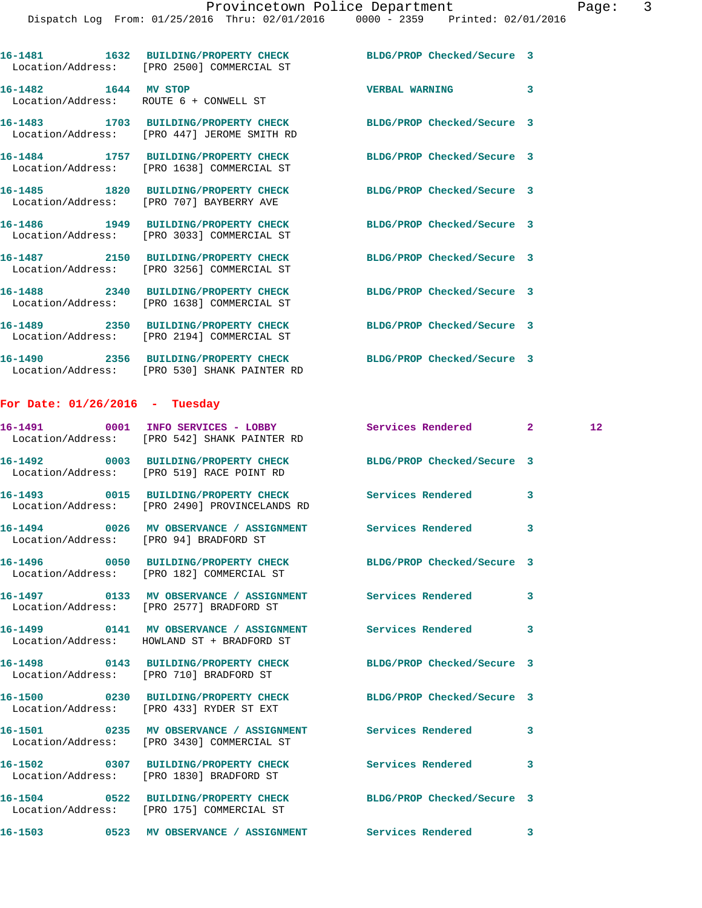|                                  | 16-1481 1632 BUILDING/PROPERTY CHECK BLDG/PROP Checked/Secure 3<br>Location/Address: [PRO 2500] COMMERCIAL ST    |                            |                         |    |
|----------------------------------|------------------------------------------------------------------------------------------------------------------|----------------------------|-------------------------|----|
|                                  | 16-1482    1644    MV STOP<br>Location/Address: ROUTE 6 + CONWELL ST                                             | <b>VERBAL WARNING</b>      | 3                       |    |
|                                  | 16-1483 1703 BUILDING/PROPERTY CHECK<br>Location/Address: [PRO 447] JEROME SMITH RD                              | BLDG/PROP Checked/Secure 3 |                         |    |
|                                  | 16-1484 1757 BUILDING/PROPERTY CHECK<br>Location/Address: [PRO 1638] COMMERCIAL ST                               | BLDG/PROP Checked/Secure 3 |                         |    |
|                                  | 16-1485 1820 BUILDING/PROPERTY CHECK<br>Location/Address: [PRO 707] BAYBERRY AVE                                 | BLDG/PROP Checked/Secure 3 |                         |    |
|                                  | 16-1486 1949 BUILDING/PROPERTY CHECK<br>Location/Address: [PRO 3033] COMMERCIAL ST                               | BLDG/PROP Checked/Secure 3 |                         |    |
|                                  | 16-1487 2150 BUILDING/PROPERTY CHECK<br>Location/Address: [PRO 3256] COMMERCIAL ST                               | BLDG/PROP Checked/Secure 3 |                         |    |
|                                  | 16-1488 2340 BUILDING/PROPERTY CHECK<br>Location/Address: [PRO 1638] COMMERCIAL ST                               | BLDG/PROP Checked/Secure 3 |                         |    |
|                                  | 16-1489 2350 BUILDING/PROPERTY CHECK<br>Location/Address: [PRO 2194] COMMERCIAL ST                               | BLDG/PROP Checked/Secure 3 |                         |    |
|                                  | 16-1490  2356 BUILDING/PROPERTY CHECK BLDG/PROP Checked/Secure 3<br>Location/Address: [PRO 530] SHANK PAINTER RD |                            |                         |    |
| For Date: $01/26/2016$ - Tuesday |                                                                                                                  |                            |                         |    |
|                                  | 16-1491 0001 INFO SERVICES - LOBBY Services Rendered 2<br>Location/Address: [PRO 542] SHANK PAINTER RD           |                            |                         | 12 |
|                                  | 16-1492 0003 BUILDING/PROPERTY CHECK BLDG/PROP Checked/Secure 3<br>Location/Address: [PRO 519] RACE POINT RD     |                            |                         |    |
|                                  | 16-1493 0015 BUILDING/PROPERTY CHECK Services Rendered<br>Location/Address: [PRO 2490] PROVINCELANDS RD          |                            | 3                       |    |
|                                  | 16-1494 0026 MV OBSERVANCE / ASSIGNMENT Services Rendered                                                        |                            | $\overline{\mathbf{3}}$ |    |

Location/Address: [PRO 94] BRADFORD ST

**16-1496 0050 BUILDING/PROPERTY CHECK BLDG/PROP Checked/Secure 3** 

**16-1497 0133 MV OBSERVANCE / ASSIGNMENT Services Rendered 3** 

Location/Address: [PRO 182] COMMERCIAL ST

Location/Address: [PRO 2577] BRADFORD ST

16-1499 **0141 MV OBSERVANCE / ASSIGNMENT** Services Rendered 3 Location/Address: HOWLAND ST + BRADFORD ST

**16-1498 0143 BUILDING/PROPERTY CHECK BLDG/PROP Checked/Secure 3**  Location/Address: [PRO 710] BRADFORD ST

**16-1500 0230 BUILDING/PROPERTY CHECK BLDG/PROP Checked/Secure 3**  Location/Address: [PRO 433] RYDER ST EXT

**16-1501 0235 MV OBSERVANCE / ASSIGNMENT Services Rendered 3**  Location/Address: [PRO 3430] COMMERCIAL ST

Location/Address: [PRO 1830] BRADFORD ST

**16-1504 0522 BUILDING/PROPERTY CHECK BLDG/PROP Checked/Secure 3**  Location/Address: [PRO 175] COMMERCIAL ST

**16-1502 0307 BUILDING/PROPERTY CHECK Services Rendered 3** 

**16-1503 0523 MV OBSERVANCE / ASSIGNMENT Services Rendered 3**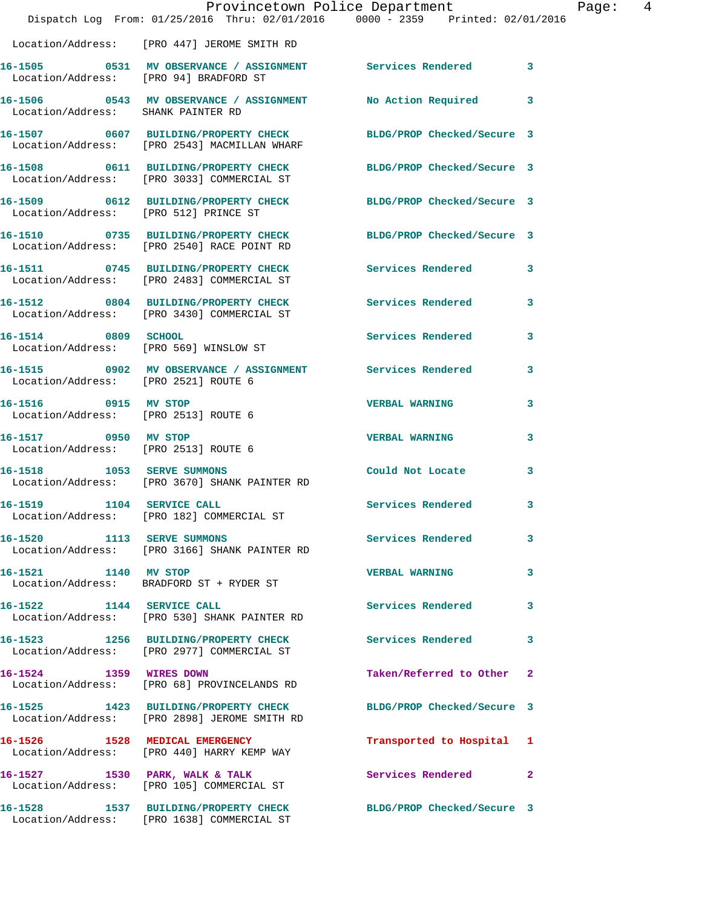|                                                              | Provincetown Police Department<br>Dispatch Log From: 01/25/2016 Thru: 02/01/2016 0000 - 2359 Printed: 02/01/2016 |                            |              |
|--------------------------------------------------------------|------------------------------------------------------------------------------------------------------------------|----------------------------|--------------|
|                                                              | Location/Address: [PRO 447] JEROME SMITH RD                                                                      |                            |              |
|                                                              |                                                                                                                  |                            | 3            |
|                                                              |                                                                                                                  |                            |              |
|                                                              | 16-1507 0607 BUILDING/PROPERTY CHECK<br>Location/Address: [PRO 2543] MACMILLAN WHARF                             | BLDG/PROP Checked/Secure 3 |              |
|                                                              | 16-1508 0611 BUILDING/PROPERTY CHECK<br>Location/Address: [PRO 3033] COMMERCIAL ST                               | BLDG/PROP Checked/Secure 3 |              |
| Location/Address: [PRO 512] PRINCE ST                        | 16-1509 0612 BUILDING/PROPERTY CHECK                                                                             | BLDG/PROP Checked/Secure 3 |              |
|                                                              | 16-1510 0735 BUILDING/PROPERTY CHECK<br>Location/Address: [PRO 2540] RACE POINT RD                               | BLDG/PROP Checked/Secure 3 |              |
|                                                              | 16-1511 0745 BUILDING/PROPERTY CHECK<br>Location/Address: [PRO 2483] COMMERCIAL ST                               | Services Rendered          | 3            |
|                                                              | 16-1512 0804 BUILDING/PROPERTY CHECK<br>Location/Address: [PRO 3430] COMMERCIAL ST                               | Services Rendered          | 3            |
| 16-1514 0809 SCHOOL                                          | Location/Address: [PRO 569] WINSLOW ST                                                                           | Services Rendered          | 3            |
| Location/Address: [PRO 2521] ROUTE 6                         | 16-1515 0902 MV OBSERVANCE / ASSIGNMENT Services Rendered                                                        |                            | 3            |
| 16-1516 0915 MV STOP<br>Location/Address: [PRO 2513] ROUTE 6 |                                                                                                                  | <b>VERBAL WARNING</b>      | 3            |
| 16-1517 0950 MV STOP<br>Location/Address: [PRO 2513] ROUTE 6 |                                                                                                                  | <b>VERBAL WARNING</b>      | 3            |
| 16-1518 1053 SERVE SUMMONS                                   | Location/Address: [PRO 3670] SHANK PAINTER RD                                                                    | Could Not Locate           | 3            |
| 16-1519 1104 SERVICE CALL                                    | Location/Address: [PRO 182] COMMERCIAL ST                                                                        | Services Rendered          | 3            |
| 16-1520 1113 SERVE SUMMONS                                   | Location/Address: [PRO 3166] SHANK PAINTER RD                                                                    | Services Rendered          | 3            |
| 16-1521 1140 MV STOP                                         | Location/Address: BRADFORD ST + RYDER ST                                                                         | <b>VERBAL WARNING</b>      | 3            |
| 16-1522 1144 SERVICE CALL                                    | Location/Address: [PRO 530] SHANK PAINTER RD                                                                     | <b>Services Rendered</b>   | 3            |
|                                                              | 16-1523 1256 BUILDING/PROPERTY CHECK<br>Location/Address: [PRO 2977] COMMERCIAL ST                               | Services Rendered          | 3            |
| 16-1524 1359 WIRES DOWN                                      | Location/Address: [PRO 68] PROVINCELANDS RD                                                                      | Taken/Referred to Other    | $\mathbf{2}$ |
|                                                              | 16-1525 1423 BUILDING/PROPERTY CHECK<br>Location/Address: [PRO 2898] JEROME SMITH RD                             | BLDG/PROP Checked/Secure 3 |              |
|                                                              | 16-1526 1528 MEDICAL EMERGENCY<br>Location/Address: [PRO 440] HARRY KEMP WAY                                     | Transported to Hospital 1  |              |
|                                                              | 16-1527 1530 PARK, WALK & TALK<br>Location/Address: [PRO 105] COMMERCIAL ST                                      | Services Rendered          | $\mathbf{2}$ |
|                                                              | 16-1528 1537 BUILDING/PROPERTY CHECK<br>Location/Address: [PRO 1638] COMMERCIAL ST                               | BLDG/PROP Checked/Secure 3 |              |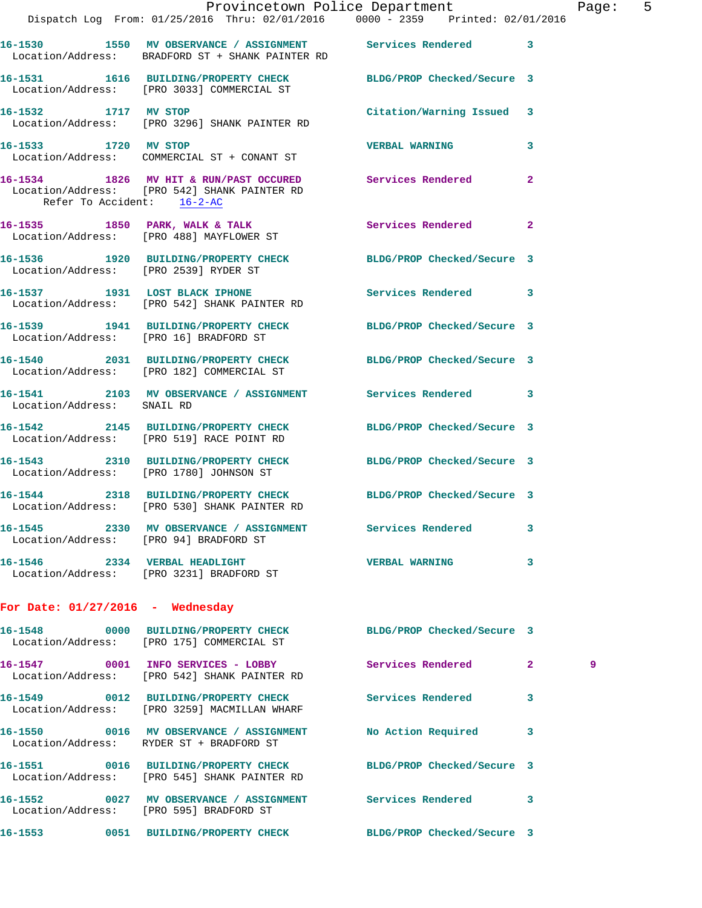|                                        | Dispatch Log From: 01/25/2016 Thru: 02/01/2016 0000 - 2359 Printed: 02/01/2016                                  | Provincetown Police Department |              | Page: 5 |  |
|----------------------------------------|-----------------------------------------------------------------------------------------------------------------|--------------------------------|--------------|---------|--|
|                                        | 16-1530 1550 MV OBSERVANCE / ASSIGNMENT Services Rendered 3<br>Location/Address: BRADFORD ST + SHANK PAINTER RD |                                |              |         |  |
|                                        | 16-1531 1616 BUILDING/PROPERTY CHECK BLDG/PROP Checked/Secure 3<br>Location/Address: [PRO 3033] COMMERCIAL ST   |                                |              |         |  |
|                                        | 16-1532 1717 MV STOP<br>Location/Address: [PRO 3296] SHANK PAINTER RD                                           | Citation/Warning Issued 3      |              |         |  |
| 16-1533 1720 MV STOP                   | Location/Address: COMMERCIAL ST + CONANT ST                                                                     | <b>VERBAL WARNING</b>          | 3            |         |  |
| Refer To Accident: 16-2-AC             | 16-1534 1826 MV HIT & RUN/PAST OCCURED Services Rendered<br>Location/Address: [PRO 542] SHANK PAINTER RD        |                                | $\mathbf{2}$ |         |  |
|                                        | 16-1535 1850 PARK, WALK & TALK<br>Location/Address: [PRO 488] MAYFLOWER ST                                      | Services Rendered              | $\mathbf{2}$ |         |  |
|                                        | 16-1536 1920 BUILDING/PROPERTY CHECK BLDG/PROP Checked/Secure 3<br>Location/Address: [PRO 2539] RYDER ST        |                                |              |         |  |
|                                        | 16-1537 1931 LOST BLACK IPHONE 5ervices Rendered 3<br>Location/Address: [PRO 542] SHANK PAINTER RD              |                                |              |         |  |
|                                        | 16-1539 1941 BUILDING/PROPERTY CHECK BLDG/PROP Checked/Secure 3<br>Location/Address: [PRO 16] BRADFORD ST       |                                |              |         |  |
|                                        | 16-1540 2031 BUILDING/PROPERTY CHECK BLDG/PROP Checked/Secure 3<br>Location/Address: [PRO 182] COMMERCIAL ST    |                                |              |         |  |
| Location/Address: SNAIL RD             | 16-1541 2103 MV OBSERVANCE / ASSIGNMENT Services Rendered 3                                                     |                                |              |         |  |
|                                        | 16-1542 2145 BUILDING/PROPERTY CHECK BLDG/PROP Checked/Secure 3<br>Location/Address: [PRO 519] RACE POINT RD    |                                |              |         |  |
|                                        | 16-1543 2310 BUILDING/PROPERTY CHECK BLDG/PROP Checked/Secure 3<br>Location/Address: [PRO 1780] JOHNSON ST      |                                |              |         |  |
|                                        | 16-1544 2318 BUILDING/PROPERTY CHECK BLDG/PROP Checked/Secure 3<br>Location/Address: [PRO 530] SHANK PAINTER RD |                                |              |         |  |
| Location/Address: [PRO 94] BRADFORD ST | 16-1545 2330 MV OBSERVANCE / ASSIGNMENT Services Rendered 3                                                     |                                |              |         |  |
|                                        | 16-1546 2334 VERBAL HEADLIGHT<br>Location/Address: [PRO 3231] BRADFORD ST                                       | <b>VERBAL WARNING</b>          | 3            |         |  |
| For Date: $01/27/2016$ - Wednesday     |                                                                                                                 |                                |              |         |  |
|                                        | 16-1548 0000 BUILDING/PROPERTY CHECK BLDG/PROP Checked/Secure 3<br>Location/Address: [PRO 175] COMMERCIAL ST    |                                |              |         |  |
|                                        | 16-1547 0001 INFO SERVICES - LOBBY Services Rendered 2<br>Location/Address: [PRO 542] SHANK PAINTER RD          |                                |              | 9       |  |
|                                        | 16-1549 0012 BUILDING/PROPERTY CHECK Services Rendered<br>Location/Address: [PRO 3259] MACMILLAN WHARF          |                                | -3           |         |  |
|                                        | 16-1550 0016 MV OBSERVANCE / ASSIGNMENT No Action Required 3<br>Location/Address: RYDER ST + BRADFORD ST        |                                |              |         |  |
|                                        | 16-1551 0016 BUILDING/PROPERTY CHECK<br>Location/Address: [PRO 545] SHANK PAINTER RD                            | BLDG/PROP Checked/Secure 3     |              |         |  |
|                                        | 16-1552 0027 MV OBSERVANCE / ASSIGNMENT Services Rendered 3<br>Location/Address: [PRO 595] BRADFORD ST          |                                |              |         |  |
|                                        | 16-1553 0051 BUILDING/PROPERTY CHECK BLDG/PROP Checked/Secure 3                                                 |                                |              |         |  |
|                                        |                                                                                                                 |                                |              |         |  |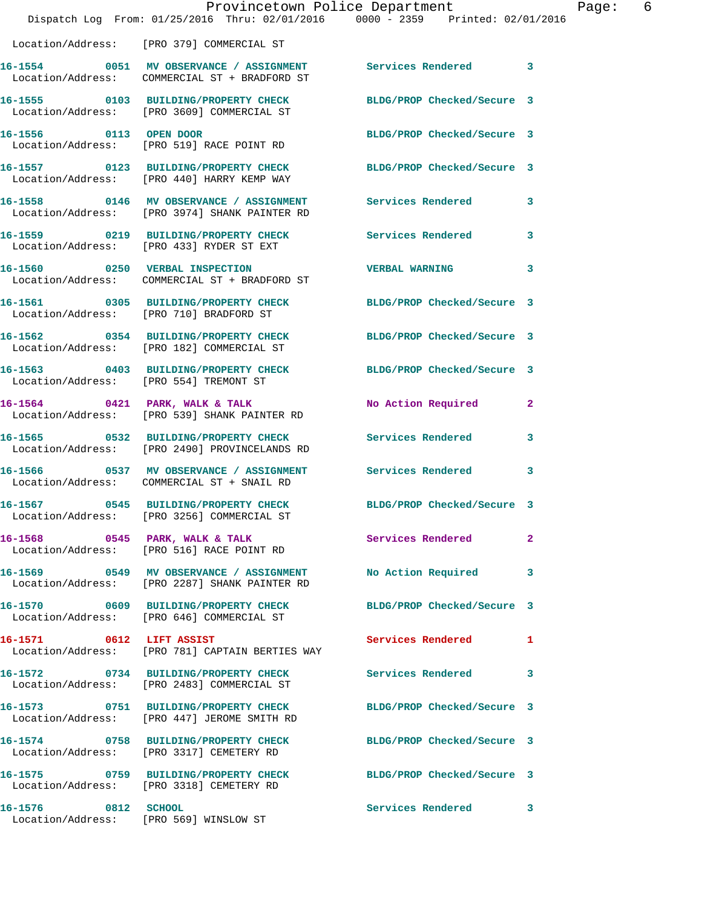|                                                               | Provincetown Police Department<br>Dispatch Log From: 01/25/2016 Thru: 02/01/2016 0000 - 2359 Printed: 02/01/2016 |                            |                |
|---------------------------------------------------------------|------------------------------------------------------------------------------------------------------------------|----------------------------|----------------|
|                                                               |                                                                                                                  |                            |                |
|                                                               | Location/Address: [PRO 379] COMMERCIAL ST                                                                        |                            |                |
|                                                               | 16-1554 0051 MV OBSERVANCE / ASSIGNMENT Services Rendered<br>Location/Address: COMMERCIAL ST + BRADFORD ST       |                            | $\mathbf{3}$   |
|                                                               | 16-1555 0103 BUILDING/PROPERTY CHECK<br>Location/Address: [PRO 3609] COMMERCIAL ST                               | BLDG/PROP Checked/Secure 3 |                |
|                                                               | 16-1556 0113 OPEN DOOR<br>Location/Address: [PRO 519] RACE POINT RD                                              | BLDG/PROP Checked/Secure 3 |                |
|                                                               | 16-1557 0123 BUILDING/PROPERTY CHECK BLDG/PROP Checked/Secure 3<br>Location/Address: [PRO 440] HARRY KEMP WAY    |                            |                |
|                                                               | 16-1558 0146 MV OBSERVANCE / ASSIGNMENT Services Rendered<br>Location/Address: [PRO 3974] SHANK PAINTER RD       |                            | 3              |
|                                                               | 16-1559 0219 BUILDING/PROPERTY CHECK Services Rendered<br>Location/Address: [PRO 433] RYDER ST EXT               |                            | 3              |
|                                                               | 16-1560 0250 VERBAL INSPECTION<br>Location/Address: COMMERCIAL ST + BRADFORD ST                                  | <b>VERBAL WARNING</b>      | 3              |
|                                                               | 16-1561 0305 BUILDING/PROPERTY CHECK BLDG/PROP Checked/Secure 3<br>Location/Address: [PRO 710] BRADFORD ST       |                            |                |
|                                                               | 16-1562 0354 BUILDING/PROPERTY CHECK<br>Location/Address: [PRO 182] COMMERCIAL ST                                | BLDG/PROP Checked/Secure 3 |                |
|                                                               | 16-1563 0403 BUILDING/PROPERTY CHECK<br>Location/Address: [PRO 554] TREMONT ST                                   | BLDG/PROP Checked/Secure 3 |                |
|                                                               | 16-1564 0421 PARK, WALK & TALK<br>Location/Address: [PRO 539] SHANK PAINTER RD                                   | No Action Required         | 2              |
|                                                               | 16-1565 0532 BUILDING/PROPERTY CHECK Services Rendered<br>Location/Address: [PRO 2490] PROVINCELANDS RD          |                            | 3              |
|                                                               | 16-1566 0537 MV OBSERVANCE / ASSIGNMENT<br>Location/Address: COMMERCIAL ST + SNAIL RD                            | <b>Services Rendered</b>   | 3              |
|                                                               | 16-1567 0545 BUILDING/PROPERTY CHECK<br>Location/Address: [PRO 3256] COMMERCIAL ST                               | BLDG/PROP Checked/Secure 3 |                |
|                                                               | 16-1568 0545 PARK, WALK & TALK<br>Location/Address: [PRO 516] RACE POINT RD                                      | Services Rendered          | $\overline{a}$ |
|                                                               | 16-1569 0549 MV OBSERVANCE / ASSIGNMENT<br>Location/Address: [PRO 2287] SHANK PAINTER RD                         | <b>No Action Required</b>  | 3              |
|                                                               | 16-1570 0609 BUILDING/PROPERTY CHECK<br>Location/Address: [PRO 646] COMMERCIAL ST                                | BLDG/PROP Checked/Secure 3 |                |
| 16-1571 0612 LIFT ASSIST                                      | Location/Address: [PRO 781] CAPTAIN BERTIES WAY                                                                  | Services Rendered          | 1              |
|                                                               | 16-1572 0734 BUILDING/PROPERTY CHECK<br>Location/Address: [PRO 2483] COMMERCIAL ST                               | Services Rendered          | 3              |
|                                                               | 16-1573 0751 BUILDING/PROPERTY CHECK<br>Location/Address: [PRO 447] JEROME SMITH RD                              | BLDG/PROP Checked/Secure 3 |                |
|                                                               | 16-1574 0758 BUILDING/PROPERTY CHECK<br>Location/Address: [PRO 3317] CEMETERY RD                                 | BLDG/PROP Checked/Secure 3 |                |
|                                                               | 16-1575 0759 BUILDING/PROPERTY CHECK<br>Location/Address: [PRO 3318] CEMETERY RD                                 | BLDG/PROP Checked/Secure 3 |                |
| 16-1576 0812 SCHOOL<br>Location/Address: [PRO 569] WINSLOW ST |                                                                                                                  | Services Rendered          | 3              |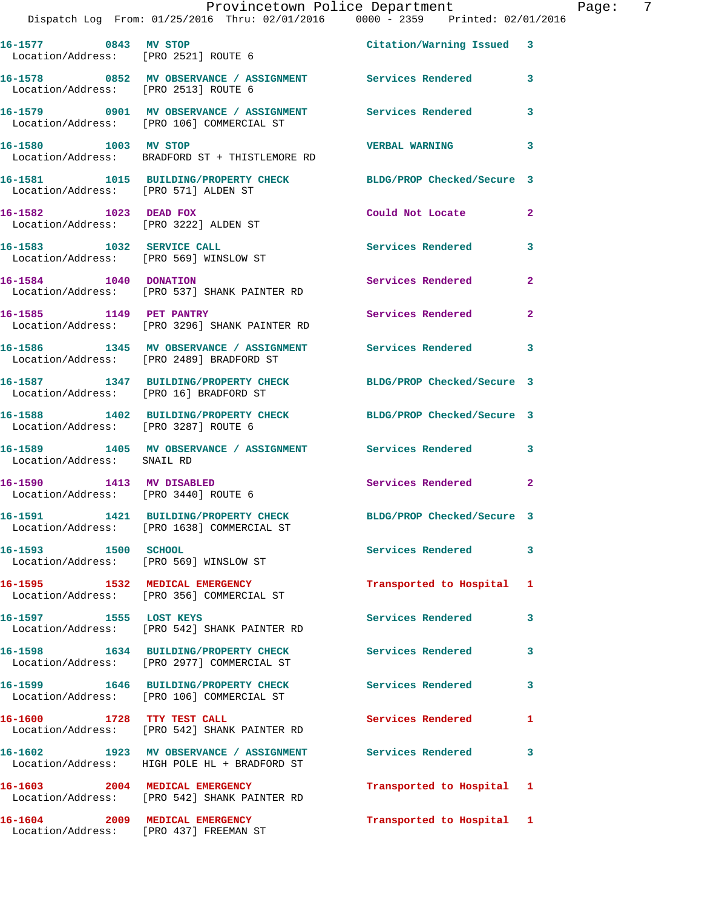|                                                                  | Provincetown Police Department<br>Dispatch Log From: 01/25/2016 Thru: 02/01/2016 0000 - 2359 Printed: 02/01/2016 |                            |                |
|------------------------------------------------------------------|------------------------------------------------------------------------------------------------------------------|----------------------------|----------------|
|                                                                  | 16-1577 0843 MV STOP<br>Location/Address: [PRO 2521] ROUTE 6                                                     | Citation/Warning Issued 3  |                |
| Location/Address: [PRO 2513] ROUTE 6                             | 16-1578 0852 MV OBSERVANCE / ASSIGNMENT Services Rendered                                                        |                            | 3              |
|                                                                  | 16-1579 0901 MV OBSERVANCE / ASSIGNMENT Services Rendered<br>Location/Address: [PRO 106] COMMERCIAL ST           |                            | 3              |
| 16-1580 1003 MV STOP                                             | Location/Address: BRADFORD ST + THISTLEMORE RD                                                                   | <b>VERBAL WARNING</b>      | 3              |
| Location/Address: [PRO 571] ALDEN ST                             | 16-1581 1015 BUILDING/PROPERTY CHECK BLDG/PROP Checked/Secure 3                                                  |                            |                |
| 16-1582 1023 DEAD FOX<br>Location/Address: [PRO 3222] ALDEN ST   |                                                                                                                  | Could Not Locate           | $\mathbf{2}$   |
| 16-1583 1032 SERVICE CALL                                        | Location/Address: [PRO 569] WINSLOW ST                                                                           | <b>Services Rendered</b>   | 3              |
|                                                                  | 16-1584 1040 DONATION<br>Location/Address: [PRO 537] SHANK PAINTER RD                                            | Services Rendered          | $\overline{a}$ |
| 16-1585 1149 PET PANTRY                                          | Location/Address: [PRO 3296] SHANK PAINTER RD                                                                    | Services Rendered          | $\overline{a}$ |
|                                                                  | 16-1586 1345 MV OBSERVANCE / ASSIGNMENT Services Rendered<br>Location/Address: [PRO 2489] BRADFORD ST            |                            | 3              |
| Location/Address: [PRO 16] BRADFORD ST                           | 16-1587 1347 BUILDING/PROPERTY CHECK BLDG/PROP Checked/Secure 3                                                  |                            |                |
| Location/Address: [PRO 3287] ROUTE 6                             | 16-1588 1402 BUILDING/PROPERTY CHECK BLDG/PROP Checked/Secure 3                                                  |                            |                |
| Location/Address: SNAIL RD                                       | 16-1589 1405 MV OBSERVANCE / ASSIGNMENT Services Rendered                                                        |                            | 3              |
| 16-1590 1413 MV DISABLED<br>Location/Address: [PRO 3440] ROUTE 6 |                                                                                                                  | Services Rendered          | $\overline{a}$ |
|                                                                  | 16-1591 1421 BUILDING/PROPERTY CHECK<br>Location/Address: [PRO 1638] COMMERCIAL ST                               | BLDG/PROP Checked/Secure 3 |                |
| 16-1593 1500 SCHOOL                                              | Location/Address: [PRO 569] WINSLOW ST                                                                           | Services Rendered          | 3              |
| 16-1595 1532 MEDICAL EMERGENCY                                   | Location/Address: [PRO 356] COMMERCIAL ST                                                                        | Transported to Hospital    | 1              |
| 16-1597 1555 LOST KEYS                                           | Location/Address: [PRO 542] SHANK PAINTER RD                                                                     | <b>Services Rendered</b>   | 3              |
|                                                                  | 16-1598 1634 BUILDING/PROPERTY CHECK<br>Location/Address: [PRO 2977] COMMERCIAL ST                               | Services Rendered          | 3              |
|                                                                  | 16-1599 1646 BUILDING/PROPERTY CHECK<br>Location/Address: [PRO 106] COMMERCIAL ST                                | <b>Services Rendered</b>   | 3              |
| 16-1600                                                          | 1728 TTY TEST CALL<br>Location/Address: [PRO 542] SHANK PAINTER RD                                               | Services Rendered          | 1              |
|                                                                  | 16-1602 1923 MV OBSERVANCE / ASSIGNMENT Services Rendered<br>Location/Address: HIGH POLE HL + BRADFORD ST        |                            | 3              |
| 16–1603                                                          | 2004 MEDICAL EMERGENCY<br>Location/Address: [PRO 542] SHANK PAINTER RD                                           | Transported to Hospital    | 1              |
|                                                                  |                                                                                                                  |                            |                |

**16-1604 2009 MEDICAL EMERGENCY Transported to Hospital 1** 

Location/Address: [PRO 437] FREEMAN ST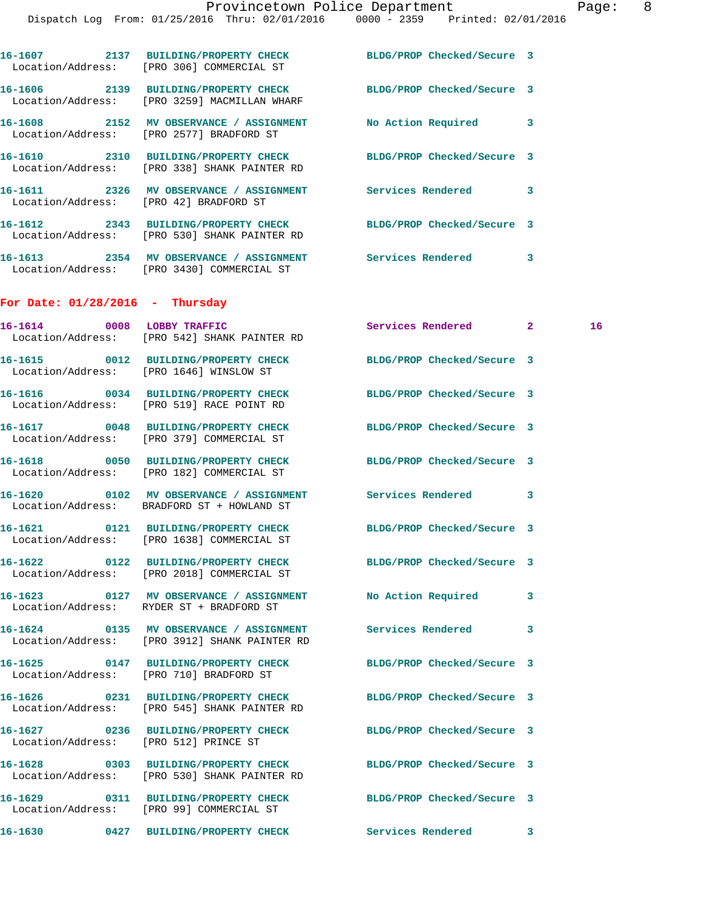|                                        |                                                                                                                             | Dispatch Log From: 01/25/2016 Thru: 02/01/2016 0000 - 2359 Printed: 02/01/2016 |   |    |
|----------------------------------------|-----------------------------------------------------------------------------------------------------------------------------|--------------------------------------------------------------------------------|---|----|
|                                        | 16-1607 2137 BUILDING/PROPERTY CHECK<br>Location/Address: [PRO 306] COMMERCIAL ST                                           | BLDG/PROP Checked/Secure 3                                                     |   |    |
|                                        | 16-1606 2139 BUILDING/PROPERTY CHECK<br>Location/Address: [PRO 3259] MACMILLAN WHARF                                        | BLDG/PROP Checked/Secure 3                                                     |   |    |
|                                        | 16-1608 2152 MV OBSERVANCE / ASSIGNMENT<br>Location/Address: [PRO 2577] BRADFORD ST                                         | No Action Required 3                                                           |   |    |
|                                        | 16-1610 2310 BUILDING/PROPERTY CHECK BLDG/PROP Checked/Secure 3<br>Location/Address: [PRO 338] SHANK PAINTER RD             |                                                                                |   |    |
| Location/Address: [PRO 42] BRADFORD ST | 16-1611 2326 MV OBSERVANCE / ASSIGNMENT Services Rendered 3                                                                 |                                                                                |   |    |
|                                        | 16-1612 2343 BUILDING/PROPERTY CHECK BLDG/PROP Checked/Secure 3<br>Location/Address: [PRO 530] SHANK PAINTER RD             |                                                                                |   |    |
|                                        | 16-1613 2354 MV OBSERVANCE / ASSIGNMENT Services Rendered 3<br>Location/Address: [PRO 3430] COMMERCIAL ST                   |                                                                                |   |    |
| For Date: $01/28/2016$ - Thursday      |                                                                                                                             |                                                                                |   |    |
|                                        | 16-1614 0008 LOBBY TRAFFIC<br>Location/Address: [PRO 542] SHANK PAINTER RD                                                  | Services Rendered 2                                                            |   | 16 |
|                                        | 16-1615 0012 BUILDING/PROPERTY CHECK<br>Location/Address: [PRO 1646] WINSLOW ST                                             | BLDG/PROP Checked/Secure 3                                                     |   |    |
|                                        | 16-1616 0034 BUILDING/PROPERTY CHECK<br>Location/Address: [PRO 519] RACE POINT RD                                           | BLDG/PROP Checked/Secure 3                                                     |   |    |
|                                        | 16-1617 0048 BUILDING/PROPERTY CHECK<br>Location/Address: [PRO 379] COMMERCIAL ST                                           | BLDG/PROP Checked/Secure 3                                                     |   |    |
|                                        | 16-1618 0050 BUILDING/PROPERTY CHECK<br>Location/Address: [PRO 182] COMMERCIAL ST                                           | BLDG/PROP Checked/Secure 3                                                     |   |    |
|                                        | Location/Address: BRADFORD ST + HOWLAND ST                                                                                  |                                                                                |   |    |
|                                        | 16-1621       0121  BUILDING/PROPERTY CHECK        BLDG/PROP Checked/Secure 3<br>Location/Address: [PRO 1638] COMMERCIAL ST |                                                                                |   |    |
|                                        | 16-1622 0122 BUILDING/PROPERTY CHECK<br>Location/Address: [PRO 2018] COMMERCIAL ST                                          | BLDG/PROP Checked/Secure 3                                                     |   |    |
|                                        | 16-1623 0127 MV OBSERVANCE / ASSIGNMENT No Action Required<br>Location/Address: RYDER ST + BRADFORD ST                      |                                                                                | 3 |    |
|                                        | 16-1624 0135 MV OBSERVANCE / ASSIGNMENT Services Rendered<br>Location/Address: [PRO 3912] SHANK PAINTER RD                  |                                                                                | 3 |    |
|                                        | 16-1625 0147 BUILDING/PROPERTY CHECK<br>Location/Address: [PRO 710] BRADFORD ST                                             | BLDG/PROP Checked/Secure 3                                                     |   |    |
|                                        | 16-1626 0231 BUILDING/PROPERTY CHECK<br>Location/Address: [PRO 545] SHANK PAINTER RD                                        | BLDG/PROP Checked/Secure 3                                                     |   |    |
| Location/Address: [PRO 512] PRINCE ST  | 16-1627 0236 BUILDING/PROPERTY CHECK                                                                                        | BLDG/PROP Checked/Secure 3                                                     |   |    |
|                                        | 16-1628 0303 BUILDING/PROPERTY CHECK<br>Location/Address: [PRO 530] SHANK PAINTER RD                                        | BLDG/PROP Checked/Secure 3                                                     |   |    |
|                                        | 16-1629 0311 BUILDING/PROPERTY CHECK<br>Location/Address: [PRO 99] COMMERCIAL ST                                            | BLDG/PROP Checked/Secure 3                                                     |   |    |
|                                        | 16-1630 0427 BUILDING/PROPERTY CHECK Services Rendered 3                                                                    |                                                                                |   |    |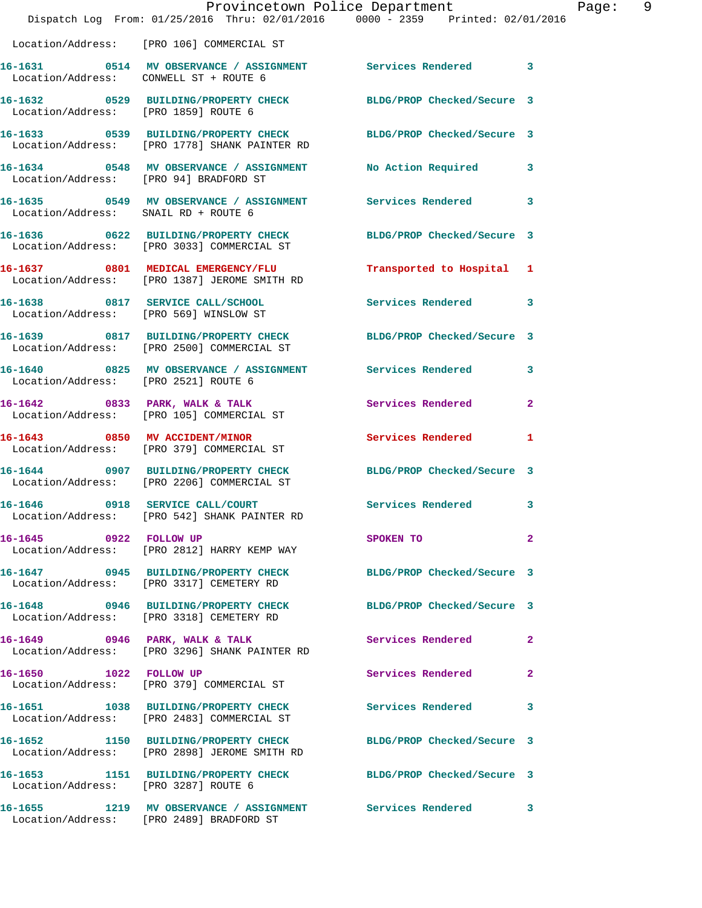|                                        |                                                                                      | Provincetown Police Department<br>Dispatch Log From: 01/25/2016 Thru: 02/01/2016 0000 - 2359 Printed: 02/01/2016 |              |
|----------------------------------------|--------------------------------------------------------------------------------------|------------------------------------------------------------------------------------------------------------------|--------------|
|                                        |                                                                                      |                                                                                                                  |              |
|                                        | Location/Address: [PRO 106] COMMERCIAL ST                                            |                                                                                                                  |              |
| Location/Address: CONWELL ST + ROUTE 6 |                                                                                      |                                                                                                                  | 3            |
| Location/Address: [PRO 1859] ROUTE 6   | 16-1632 0529 BUILDING/PROPERTY CHECK                                                 | BLDG/PROP Checked/Secure 3                                                                                       |              |
|                                        | Location/Address: [PRO 1778] SHANK PAINTER RD                                        | 16-1633 0539 BUILDING/PROPERTY CHECK BLDG/PROP Checked/Secure 3                                                  |              |
| Location/Address: [PRO 94] BRADFORD ST | 16-1634 0548 MV OBSERVANCE / ASSIGNMENT                                              | <b>No Action Required</b>                                                                                        | 3            |
| Location/Address: SNAIL RD + ROUTE 6   |                                                                                      | 16-1635 6549 MV OBSERVANCE / ASSIGNMENT Services Rendered                                                        | 3            |
|                                        | 16-1636 0622 BUILDING/PROPERTY CHECK<br>Location/Address: [PRO 3033] COMMERCIAL ST   | BLDG/PROP Checked/Secure 3                                                                                       |              |
|                                        | 16-1637 0801 MEDICAL EMERGENCY/FLU<br>Location/Address: [PRO 1387] JEROME SMITH RD   | Transported to Hospital                                                                                          | 1            |
| Location/Address: [PRO 569] WINSLOW ST | 16-1638 0817 SERVICE CALL/SCHOOL                                                     | <b>Services Rendered</b>                                                                                         | 3            |
|                                        | 16-1639 0817 BUILDING/PROPERTY CHECK<br>Location/Address: [PRO 2500] COMMERCIAL ST   | BLDG/PROP Checked/Secure 3                                                                                       |              |
| Location/Address: [PRO 2521] ROUTE 6   | 16-1640 0825 MV OBSERVANCE / ASSIGNMENT Services Rendered                            |                                                                                                                  | 3            |
|                                        | 16-1642 0833 PARK, WALK & TALK<br>Location/Address: [PRO 105] COMMERCIAL ST          | Services Rendered                                                                                                | $\mathbf{2}$ |
|                                        | 16-1643 0850 MV ACCIDENT/MINOR<br>Location/Address: [PRO 379] COMMERCIAL ST          | <b>Services Rendered</b>                                                                                         | 1            |
|                                        | 16-1644 0907 BUILDING/PROPERTY CHECK<br>Location/Address: [PRO 2206] COMMERCIAL ST   | BLDG/PROP Checked/Secure 3                                                                                       |              |
| 16-1646 0918 SERVICE CALL/COURT        | Location/Address: [PRO 542] SHANK PAINTER RD                                         | Services Rendered                                                                                                | 3            |
| 16-1645 0922 FOLLOW UP                 | Location/Address: [PRO 2812] HARRY KEMP WAY                                          | SPOKEN TO                                                                                                        | $\mathbf{2}$ |
|                                        | 16-1647 0945 BUILDING/PROPERTY CHECK<br>Location/Address: [PRO 3317] CEMETERY RD     | BLDG/PROP Checked/Secure 3                                                                                       |              |
|                                        | 16-1648 0946 BUILDING/PROPERTY CHECK<br>Location/Address: [PRO 3318] CEMETERY RD     | BLDG/PROP Checked/Secure 3                                                                                       |              |
|                                        | 16-1649 0946 PARK, WALK & TALK<br>Location/Address: [PRO 3296] SHANK PAINTER RD      | Services Rendered                                                                                                | 2            |
| 16-1650 1022 FOLLOW UP                 | Location/Address: [PRO 379] COMMERCIAL ST                                            | Services Rendered                                                                                                | 2            |
|                                        | 16-1651 1038 BUILDING/PROPERTY CHECK<br>Location/Address: [PRO 2483] COMMERCIAL ST   | Services Rendered                                                                                                | 3            |
|                                        | 16-1652 1150 BUILDING/PROPERTY CHECK<br>Location/Address: [PRO 2898] JEROME SMITH RD | BLDG/PROP Checked/Secure 3                                                                                       |              |
| Location/Address: [PRO 3287] ROUTE 6   | 16-1653 1151 BUILDING/PROPERTY CHECK                                                 | BLDG/PROP Checked/Secure 3                                                                                       |              |
|                                        | Location/Address: [PRO 2489] BRADFORD ST                                             | 16-1655 1219 MV OBSERVANCE / ASSIGNMENT Services Rendered                                                        | 3            |

Page: 9<br>16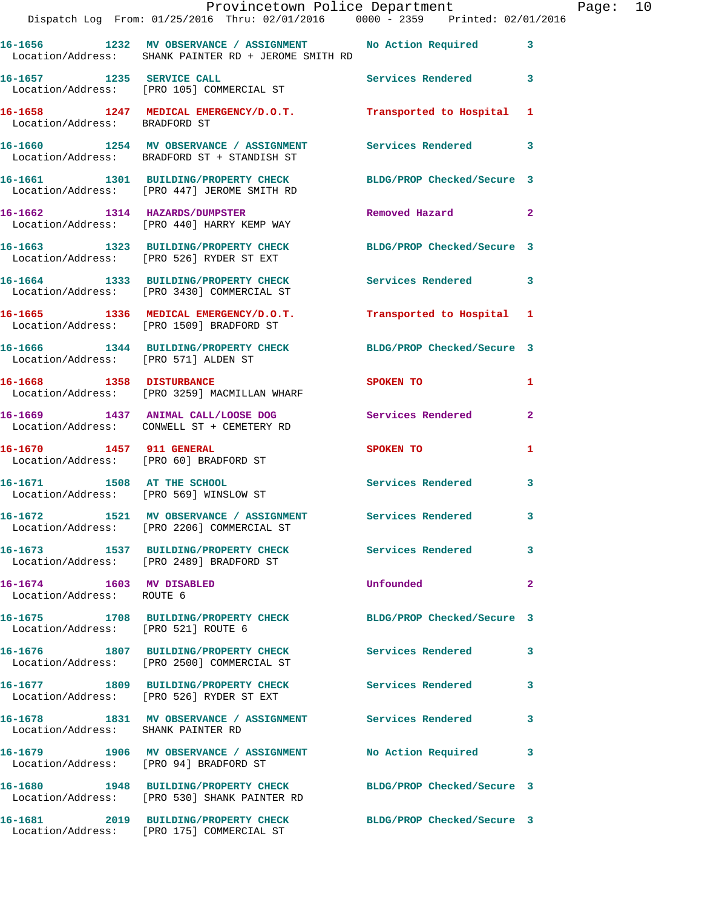|                                                       | Provincetown Police Department<br>Dispatch Log From: 01/25/2016 Thru: 02/01/2016 0000 - 2359 Printed: 02/01/2016     |                             |              | Page: 10 |  |
|-------------------------------------------------------|----------------------------------------------------------------------------------------------------------------------|-----------------------------|--------------|----------|--|
|                                                       | 16-1656 1232 MV OBSERVANCE / ASSIGNMENT No Action Required 3<br>Location/Address: SHANK PAINTER RD + JEROME SMITH RD |                             |              |          |  |
|                                                       | 16-1657 1235 SERVICE CALL<br>Location/Address: [PRO 105] COMMERCIAL ST                                               | Services Rendered 3         |              |          |  |
| Location/Address: BRADFORD ST                         | 16-1658 1247 MEDICAL EMERGENCY/D.O.T. Transported to Hospital 1                                                      |                             |              |          |  |
|                                                       | 16-1660 1254 MV OBSERVANCE / ASSIGNMENT Services Rendered 3<br>Location/Address: BRADFORD ST + STANDISH ST           |                             |              |          |  |
|                                                       | 16-1661 1301 BUILDING/PROPERTY CHECK BLDG/PROP Checked/Secure 3<br>Location/Address: [PRO 447] JEROME SMITH RD       |                             |              |          |  |
|                                                       | 16-1662 1314 HAZARDS/DUMPSTER<br>Location/Address: [PRO 440] HARRY KEMP WAY                                          | Removed Hazard              | $\mathbf{2}$ |          |  |
|                                                       | 16-1663 1323 BUILDING/PROPERTY CHECK BLDG/PROP Checked/Secure 3<br>Location/Address: [PRO 526] RYDER ST EXT          |                             |              |          |  |
|                                                       | 16-1664 1333 BUILDING/PROPERTY CHECK Services Rendered 3<br>Location/Address: [PRO 3430] COMMERCIAL ST               |                             |              |          |  |
|                                                       | 16-1665 1336 MEDICAL EMERGENCY/D.O.T. Transported to Hospital 1<br>Location/Address: [PRO 1509] BRADFORD ST          |                             |              |          |  |
| Location/Address: [PRO 571] ALDEN ST                  | 16-1666 1344 BUILDING/PROPERTY CHECK BLDG/PROP Checked/Secure 3                                                      |                             |              |          |  |
| 16-1668 1358 DISTURBANCE                              | Location/Address: [PRO 3259] MACMILLAN WHARF                                                                         | SPOKEN TO AND THE SPOKEN TO | 1            |          |  |
|                                                       | 16-1669 1437 ANIMAL CALL/LOOSE DOG Services Rendered<br>Location/Address: CONWELL ST + CEMETERY RD                   |                             | -2           |          |  |
| 16-1670 1457 911 GENERAL                              | Location/Address: [PRO 60] BRADFORD ST                                                                               | SPOKEN TO                   | 1            |          |  |
| Location/Address: [PRO 569] WINSLOW ST                | 16-1671 1508 AT THE SCHOOL                                                                                           | Services Rendered 3         |              |          |  |
|                                                       | 16-1672 1521 MV OBSERVANCE / ASSIGNMENT<br>Location/Address: [PRO 2206] COMMERCIAL ST                                | <b>Services Rendered</b>    |              |          |  |
|                                                       | 16-1673 1537 BUILDING/PROPERTY CHECK Services Rendered<br>Location/Address: [PRO 2489] BRADFORD ST                   |                             | 3            |          |  |
| 16-1674 1603 MV DISABLED<br>Location/Address: ROUTE 6 |                                                                                                                      | Unfounded                   | $\mathbf{2}$ |          |  |
| Location/Address: [PRO 521] ROUTE 6                   | 16-1675 1708 BUILDING/PROPERTY CHECK BLDG/PROP Checked/Secure 3                                                      |                             |              |          |  |
|                                                       | 16-1676 1807 BUILDING/PROPERTY CHECK Services Rendered 3<br>Location/Address: [PRO 2500] COMMERCIAL ST               |                             |              |          |  |
|                                                       | 16-1677 1809 BUILDING/PROPERTY CHECK Services Rendered<br>Location/Address: [PRO 526] RYDER ST EXT                   |                             | 3            |          |  |
| Location/Address: SHANK PAINTER RD                    | 16-1678 1831 MV OBSERVANCE / ASSIGNMENT Services Rendered                                                            |                             | 3            |          |  |
|                                                       | 16-1679 1906 MV OBSERVANCE / ASSIGNMENT<br>Location/Address: [PRO 94] BRADFORD ST                                    | <b>No Action Required</b>   | 3            |          |  |
|                                                       | 16-1680 1948 BUILDING/PROPERTY CHECK BLDG/PROP Checked/Secure 3<br>Location/Address: [PRO 530] SHANK PAINTER RD      |                             |              |          |  |
|                                                       | 16-1681 2019 BUILDING/PROPERTY CHECK BLDG/PROP Checked/Secure 3<br>Location/Address: [PRO 175] COMMERCIAL ST         |                             |              |          |  |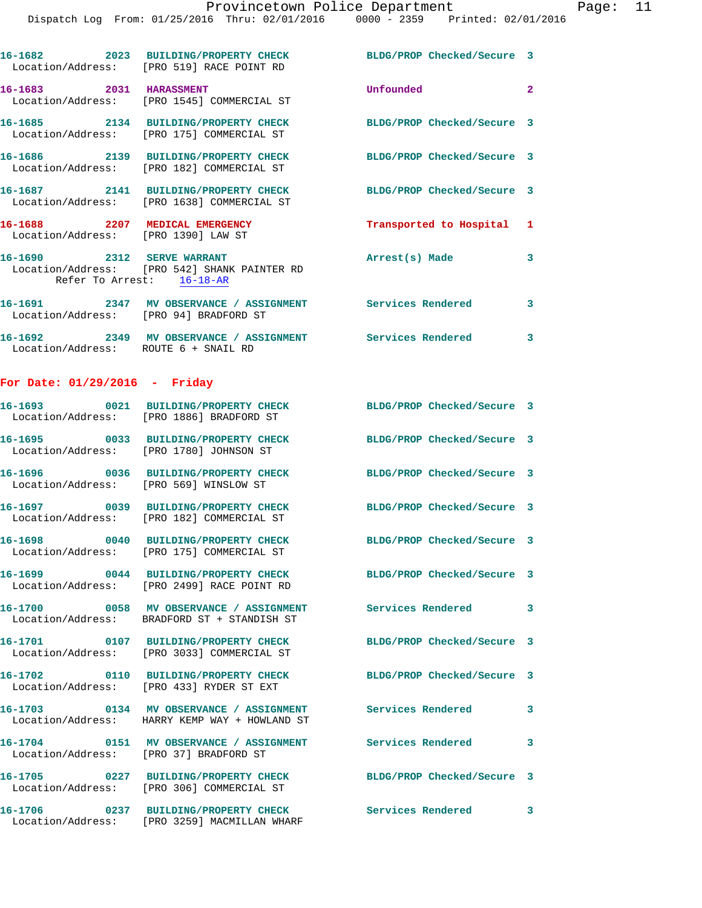|                                      | Location/Address: [PRO 519] RACE POINT RD                                       | 16-1682 2023 BUILDING/PROPERTY CHECK BLDG/PROP Checked/Secure 3 |                         |
|--------------------------------------|---------------------------------------------------------------------------------|-----------------------------------------------------------------|-------------------------|
| 16-1683 2031 HARASSMENT              | Location/Address: [PRO 1545] COMMERCIAL ST                                      | Unfounded                                                       |                         |
|                                      | Location/Address: [PRO 175] COMMERCIAL ST                                       | 16-1685 2134 BUILDING/PROPERTY CHECK BLDG/PROP Checked/Secure 3 |                         |
|                                      | Location/Address: [PRO 182] COMMERCIAL ST                                       | 16-1686 2139 BUILDING/PROPERTY CHECK BLDG/PROP Checked/Secure 3 |                         |
|                                      | Location/Address: [PRO 1638] COMMERCIAL ST                                      | 16-1687 2141 BUILDING/PROPERTY CHECK BLDG/PROP Checked/Secure 3 |                         |
| Location/Address: [PRO 1390] LAW ST  | 16-1688 2207 MEDICAL EMERGENCY                                                  | Transported to Hospital 1                                       |                         |
| 16-1690 2312 SERVE WARRANT           | Location/Address: [PRO 542] SHANK PAINTER RD<br>Refer To Arrest: 16-18-AR       | Arrest(s) Made                                                  | $\overline{\mathbf{3}}$ |
|                                      | Location/Address: [PRO 94] BRADFORD ST                                          |                                                                 |                         |
| Location/Address: ROUTE 6 + SNAIL RD |                                                                                 | 16-1692 2349 MV OBSERVANCE / ASSIGNMENT Services Rendered       | $\overline{\mathbf{3}}$ |
| For Date: $01/29/2016$ - Friday      |                                                                                 |                                                                 |                         |
|                                      | Location/Address: [PRO 1886] BRADFORD ST                                        | 16-1693 0021 BUILDING/PROPERTY CHECK BLDG/PROP Checked/Secure 3 |                         |
|                                      | 16-1695 0033 BUILDING/PROPERTY CHECK<br>Location/Address: [PRO 1780] JOHNSON ST | BLDG/PROP Checked/Secure 3                                      |                         |

**16-1696 0036 BUILDING/PROPERTY CHECK BLDG/PROP Checked/Secure 3**  Location/Address: [PRO 569] WINSLOW ST

Location/Address: [PRO 182] COMMERCIAL ST

**16-1698 0040 BUILDING/PROPERTY CHECK BLDG/PROP Checked/Secure 3**  Location/Address: [PRO 175] COMMERCIAL ST

Location/Address: [PRO 2499] RACE POINT RD

Location/Address: BRADFORD ST + STANDISH ST

Location/Address: [PRO 3033] COMMERCIAL ST

Location/Address: [PRO 433] RYDER ST EXT

Location/Address: HARRY KEMP WAY + HOWLAND ST

Location/Address: [PRO 37] BRADFORD ST

**16-1705 0227 BUILDING/PROPERTY CHECK BLDG/PROP Checked/Secure 3** 

Location/Address: [PRO 306] COMMERCIAL ST

**16-1706 0237 BUILDING/PROPERTY CHECK Services Rendered 3**  Location/Address: [PRO 3259] MACMILLAN WHARF

**16-1697 0039 BUILDING/PROPERTY CHECK BLDG/PROP Checked/Secure 3 16-1699 0044 BUILDING/PROPERTY CHECK BLDG/PROP Checked/Secure 3 16-1700 0058 MV OBSERVANCE / ASSIGNMENT Services Rendered 3 16-1701 0107 BUILDING/PROPERTY CHECK BLDG/PROP Checked/Secure 3 16-1702 0110 BUILDING/PROPERTY CHECK BLDG/PROP Checked/Secure 3 16-1703 0134 MV OBSERVANCE / ASSIGNMENT Services Rendered 3 16-1704 0151 MV OBSERVANCE / ASSIGNMENT Services Rendered 3**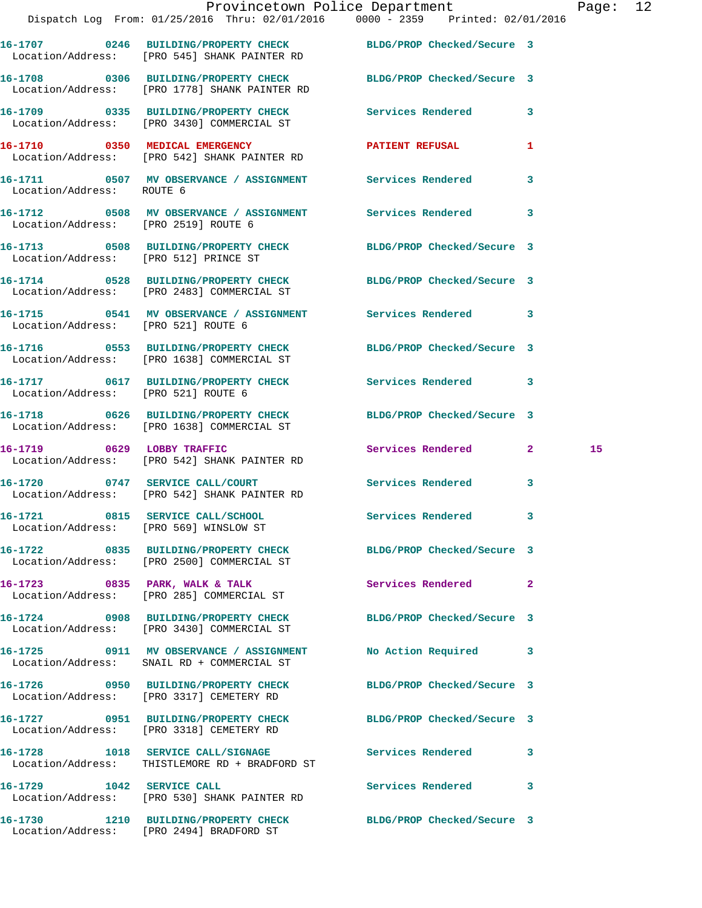|                                        | Dispatch Log From: 01/25/2016 Thru: 02/01/2016 0000 - 2359 Printed: 02/01/2016                                   | Provincetown Police Department | Page: 12 |
|----------------------------------------|------------------------------------------------------------------------------------------------------------------|--------------------------------|----------|
|                                        | 16-1707 0246 BUILDING/PROPERTY CHECK BLDG/PROP Checked/Secure 3<br>Location/Address: [PRO 545] SHANK PAINTER RD  |                                |          |
|                                        | 16-1708 0306 BUILDING/PROPERTY CHECK BLDG/PROP Checked/Secure 3<br>Location/Address: [PRO 1778] SHANK PAINTER RD |                                |          |
|                                        | 16-1709 0335 BUILDING/PROPERTY CHECK Services Rendered 3<br>Location/Address: [PRO 3430] COMMERCIAL ST           |                                |          |
|                                        | 16-1710 0350 MEDICAL EMERGENCY PATIENT REFUSAL<br>Location/Address: [PRO 542] SHANK PAINTER RD                   |                                | 1        |
| Location/Address: ROUTE 6              | 16-1711 6507 MV OBSERVANCE / ASSIGNMENT Services Rendered 3                                                      |                                |          |
| Location/Address: [PRO 2519] ROUTE 6   | 16-1712 0508 MV OBSERVANCE / ASSIGNMENT Services Rendered 3                                                      |                                |          |
| Location/Address: [PRO 512] PRINCE ST  | 16-1713 0508 BUILDING/PROPERTY CHECK BLDG/PROP Checked/Secure 3                                                  |                                |          |
|                                        | 16-1714 0528 BUILDING/PROPERTY CHECK BLDG/PROP Checked/Secure 3<br>Location/Address: [PRO 2483] COMMERCIAL ST    |                                |          |
| Location/Address: [PRO 521] ROUTE 6    | 16-1715 0541 MV OBSERVANCE / ASSIGNMENT Services Rendered 3                                                      |                                |          |
|                                        | 16-1716 0553 BUILDING/PROPERTY CHECK BLDG/PROP Checked/Secure 3<br>Location/Address: [PRO 1638] COMMERCIAL ST    |                                |          |
| Location/Address: [PRO 521] ROUTE 6    | 16-1717 0617 BUILDING/PROPERTY CHECK Services Rendered 3                                                         |                                |          |
|                                        | 16-1718 0626 BUILDING/PROPERTY CHECK BLDG/PROP Checked/Secure 3<br>Location/Address: [PRO 1638] COMMERCIAL ST    |                                |          |
|                                        | 16-1719 0629 LOBBY TRAFFIC<br>Location/Address: [PRO 542] SHANK PAINTER RD                                       | Services Rendered 2            | 15       |
|                                        | 16-1720 0747 SERVICE CALL/COURT<br>Location/Address: [PRO 542] SHANK PAINTER RD                                  | Services Rendered 3            |          |
| Location/Address: [PRO 569] WINSLOW ST | 16-1721 0815 SERVICE CALL/SCHOOL                                                                                 | Services Rendered              |          |
|                                        | 16-1722 0835 BUILDING/PROPERTY CHECK BLDG/PROP Checked/Secure 3<br>Location/Address: [PRO 2500] COMMERCIAL ST    |                                |          |
|                                        | 16-1723 0835 PARK, WALK & TALK<br>Location/Address: [PRO 285] COMMERCIAL ST                                      | <b>Services Rendered</b> 2     |          |
|                                        | 16-1724 0908 BUILDING/PROPERTY CHECK<br>Location/Address: [PRO 3430] COMMERCIAL ST                               | BLDG/PROP Checked/Secure 3     |          |
|                                        | 16-1725 0911 MV OBSERVANCE / ASSIGNMENT<br>Location/Address: SNAIL RD + COMMERCIAL ST                            | No Action Required 3           |          |
|                                        | 16-1726 0950 BUILDING/PROPERTY CHECK<br>Location/Address: [PRO 3317] CEMETERY RD                                 | BLDG/PROP Checked/Secure 3     |          |
|                                        | 16-1727 0951 BUILDING/PROPERTY CHECK BLDG/PROP Checked/Secure 3<br>Location/Address: [PRO 3318] CEMETERY RD      |                                |          |
|                                        | 16-1728 1018 SERVICE CALL/SIGNAGE Services Rendered<br>Location/Address: THISTLEMORE RD + BRADFORD ST            |                                | 3        |
| 16-1729 1042 SERVICE CALL              | Location/Address: [PRO 530] SHANK PAINTER RD                                                                     | Services Rendered 3            |          |
|                                        | 16-1730 1210 BUILDING/PROPERTY CHECK BLDG/PROP Checked/Secure 3                                                  |                                |          |

Location/Address: [PRO 2494] BRADFORD ST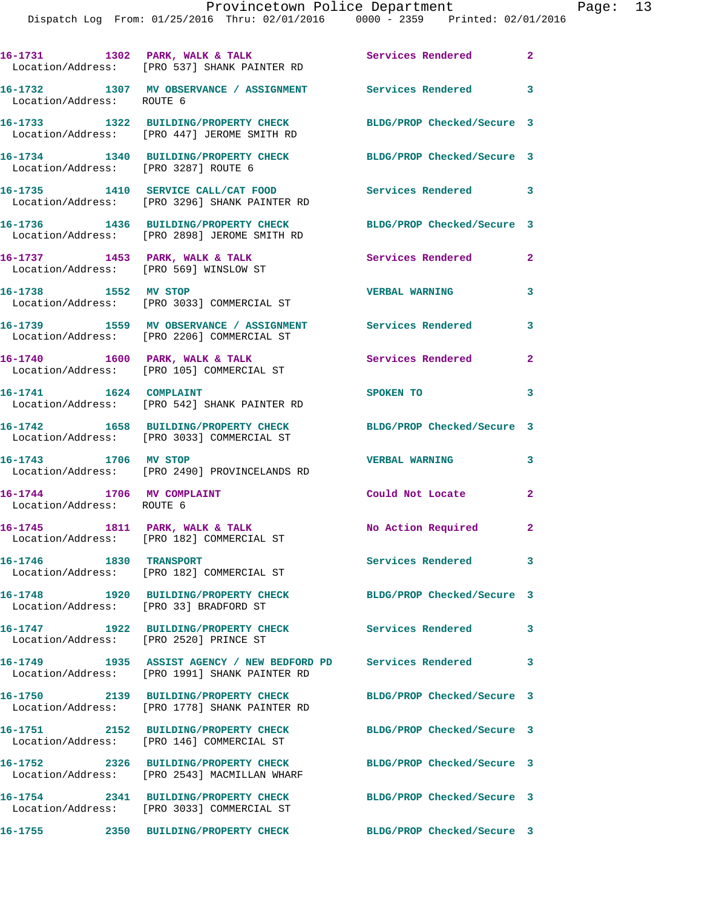|                                                        | 16-1731 1302 PARK, WALK & TALK<br>Location/Address: [PRO 537] SHANK PAINTER RD                                 | Services Rendered 2        |                          |
|--------------------------------------------------------|----------------------------------------------------------------------------------------------------------------|----------------------------|--------------------------|
| Location/Address: ROUTE 6                              | 16-1732 1307 MV OBSERVANCE / ASSIGNMENT Services Rendered 3                                                    |                            |                          |
|                                                        | 16-1733 1322 BUILDING/PROPERTY CHECK<br>Location/Address: [PRO 447] JEROME SMITH RD                            | BLDG/PROP Checked/Secure 3 |                          |
| Location/Address: [PRO 3287] ROUTE 6                   | 16-1734 1340 BUILDING/PROPERTY CHECK BLDG/PROP Checked/Secure 3                                                |                            |                          |
|                                                        | 16-1735 1410 SERVICE CALL/CAT FOOD<br>Location/Address: [PRO 3296] SHANK PAINTER RD                            | Services Rendered 3        |                          |
|                                                        | 16-1736 1436 BUILDING/PROPERTY CHECK<br>Location/Address: [PRO 2898] JEROME SMITH RD                           | BLDG/PROP Checked/Secure 3 |                          |
|                                                        | 16-1737 1453 PARK, WALK & TALK<br>Location/Address: [PRO 569] WINSLOW ST                                       | Services Rendered          | $\overline{a}$           |
| 16-1738 1552 MV STOP                                   | Location/Address: [PRO 3033] COMMERCIAL ST                                                                     | <b>VERBAL WARNING</b>      | 3                        |
|                                                        | 16-1739 1559 MV OBSERVANCE / ASSIGNMENT Services Rendered<br>Location/Address: [PRO 2206] COMMERCIAL ST        |                            | $\overline{\mathbf{3}}$  |
|                                                        | 16-1740 1600 PARK, WALK & TALK<br>Location/Address: [PRO 105] COMMERCIAL ST                                    | Services Rendered          | $\overline{2}$           |
| 16-1741   1624   COMPLAINT                             | Location/Address: [PRO 542] SHANK PAINTER RD                                                                   | SPOKEN TO                  | $\overline{\mathbf{3}}$  |
|                                                        | 16-1742 1658 BUILDING/PROPERTY CHECK<br>Location/Address: [PRO 3033] COMMERCIAL ST                             | BLDG/PROP Checked/Secure 3 |                          |
| 16-1743 1706 MV STOP                                   | Location/Address: [PRO 2490] PROVINCELANDS RD                                                                  | <b>VERBAL WARNING</b>      | 3                        |
| 16-1744 1706 MV COMPLAINT<br>Location/Address: ROUTE 6 |                                                                                                                | Could Not Locate           | $\mathbf{2}$             |
|                                                        | 16-1745 1811 PARK, WALK & TALK<br>Location/Address: [PRO 182] COMMERCIAL ST                                    | No Action Required 2       |                          |
| <b>16-1746 1830 TRANSPORT</b>                          | Location/Address: [PRO 182] COMMERCIAL ST                                                                      | Services Rendered          | $\mathbf{3}$             |
| 16-1748<br>Location/Address: [PRO 33] BRADFORD ST      | 1920 BUILDING/PROPERTY CHECK                                                                                   | BLDG/PROP Checked/Secure 3 |                          |
| Location/Address: [PRO 2520] PRINCE ST                 | 16-1747 1922 BUILDING/PROPERTY CHECK                                                                           | <b>Services Rendered</b>   | $\mathbf{3}$             |
|                                                        | 16-1749 1935 ASSIST AGENCY / NEW BEDFORD PD Services Rendered<br>Location/Address: [PRO 1991] SHANK PAINTER RD |                            | $\overline{\phantom{a}}$ |
|                                                        | 16-1750 2139 BUILDING/PROPERTY CHECK<br>Location/Address: [PRO 1778] SHANK PAINTER RD                          | BLDG/PROP Checked/Secure 3 |                          |
|                                                        | 16-1751 2152 BUILDING/PROPERTY CHECK<br>Location/Address: [PRO 146] COMMERCIAL ST                              | BLDG/PROP Checked/Secure 3 |                          |
|                                                        | 16-1752 2326 BUILDING/PROPERTY CHECK<br>Location/Address: [PRO 2543] MACMILLAN WHARF                           | BLDG/PROP Checked/Secure 3 |                          |
|                                                        | 16-1754 2341 BUILDING/PROPERTY CHECK<br>Location/Address: [PRO 3033] COMMERCIAL ST                             | BLDG/PROP Checked/Secure 3 |                          |
| 16-1755                                                | 2350 BUILDING/PROPERTY CHECK                                                                                   | BLDG/PROP Checked/Secure 3 |                          |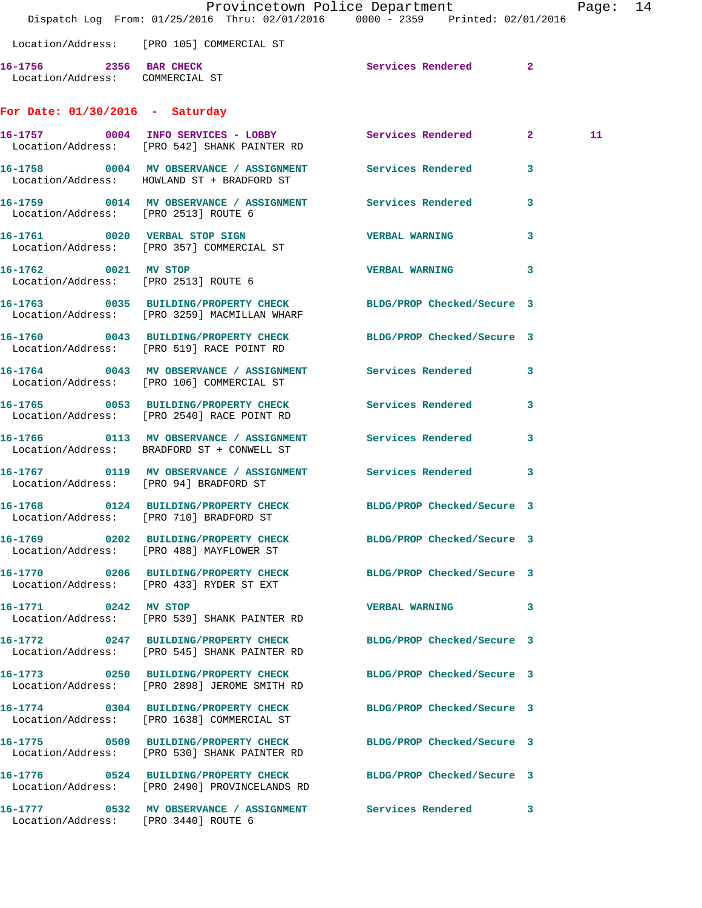|                                                           | Dispatch Log From: 01/25/2016 Thru: 02/01/2016 0000 - 2359 Printed: 02/01/2016                                   | Provincetown Police Department |              | Page: 14 |  |
|-----------------------------------------------------------|------------------------------------------------------------------------------------------------------------------|--------------------------------|--------------|----------|--|
|                                                           | Location/Address: [PRO 105] COMMERCIAL ST                                                                        |                                |              |          |  |
| 16-1756 2356 BAR CHECK<br>Location/Address: COMMERCIAL ST |                                                                                                                  | Services Rendered 2            |              |          |  |
| For Date: $01/30/2016$ - Saturday                         |                                                                                                                  |                                |              |          |  |
|                                                           | 16-1757 0004 INFO SERVICES - LOBBY Services Rendered 2<br>Location/Address: [PRO 542] SHANK PAINTER RD           |                                |              | 11       |  |
|                                                           | 16-1758 0004 MV OBSERVANCE / ASSIGNMENT Services Rendered 3<br>Location/Address: HOWLAND ST + BRADFORD ST        |                                |              |          |  |
| Location/Address: [PRO 2513] ROUTE 6                      | 16-1759 0014 MV OBSERVANCE / ASSIGNMENT Services Rendered 3                                                      |                                |              |          |  |
|                                                           | 16-1761 0020 VERBAL STOP SIGN<br>Location/Address: [PRO 357] COMMERCIAL ST                                       | <b>VERBAL WARNING</b>          | $\mathbf{3}$ |          |  |
| 16-1762 0021 MV STOP                                      | Location/Address: [PRO 2513] ROUTE 6                                                                             | <b>VERBAL WARNING</b>          | 3            |          |  |
|                                                           | 16-1763 0035 BUILDING/PROPERTY CHECK BLDG/PROP Checked/Secure 3<br>Location/Address: [PRO 3259] MACMILLAN WHARF  |                                |              |          |  |
|                                                           | 16-1760 0043 BUILDING/PROPERTY CHECK BLDG/PROP Checked/Secure 3<br>Location/Address: [PRO 519] RACE POINT RD     |                                |              |          |  |
|                                                           | 16-1764 0043 MV OBSERVANCE / ASSIGNMENT Services Rendered 3<br>Location/Address: [PRO 106] COMMERCIAL ST         |                                |              |          |  |
|                                                           | 16-1765 0053 BUILDING/PROPERTY CHECK Services Rendered 3<br>Location/Address: [PRO 2540] RACE POINT RD           |                                |              |          |  |
|                                                           | 16-1766 0113 MV OBSERVANCE / ASSIGNMENT Services Rendered 3<br>Location/Address: BRADFORD ST + CONWELL ST        |                                |              |          |  |
| Location/Address: [PRO 94] BRADFORD ST                    | 16-1767 0119 MV OBSERVANCE / ASSIGNMENT Services Rendered 3                                                      |                                |              |          |  |
|                                                           | 16-1768 0124 BUILDING/PROPERTY CHECK BLDG/PROP Checked/Secure 3<br>Location/Address: [PRO 710] BRADFORD ST       |                                |              |          |  |
|                                                           | 16-1769 0202 BUILDING/PROPERTY CHECK BLDG/PROP Checked/Secure 3<br>Location/Address: [PRO 488] MAYFLOWER ST      |                                |              |          |  |
|                                                           | 16-1770 0206 BUILDING/PROPERTY CHECK<br>Location/Address: [PRO 433] RYDER ST EXT                                 | BLDG/PROP Checked/Secure 3     |              |          |  |
| 16-1771 0242 MV STOP                                      | Location/Address: [PRO 539] SHANK PAINTER RD                                                                     | VERBAL WARNING 3               |              |          |  |
|                                                           | 16-1772 0247 BUILDING/PROPERTY CHECK<br>Location/Address: [PRO 545] SHANK PAINTER RD                             | BLDG/PROP Checked/Secure 3     |              |          |  |
|                                                           | 16-1773 0250 BUILDING/PROPERTY CHECK<br>Location/Address: [PRO 2898] JEROME SMITH RD                             | BLDG/PROP Checked/Secure 3     |              |          |  |
|                                                           | 16-1774 0304 BUILDING/PROPERTY CHECK BLDG/PROP Checked/Secure 3<br>Location/Address: [PRO 1638] COMMERCIAL ST    |                                |              |          |  |
|                                                           | 16-1775 0509 BUILDING/PROPERTY CHECK<br>Location/Address: [PRO 530] SHANK PAINTER RD                             | BLDG/PROP Checked/Secure 3     |              |          |  |
|                                                           | 16-1776 0524 BUILDING/PROPERTY CHECK BLDG/PROP Checked/Secure 3<br>Location/Address: [PRO 2490] PROVINCELANDS RD |                                |              |          |  |
| Location/Address: [PRO 3440] ROUTE 6                      | 16-1777 0532 MV OBSERVANCE / ASSIGNMENT Services Rendered 3                                                      |                                |              |          |  |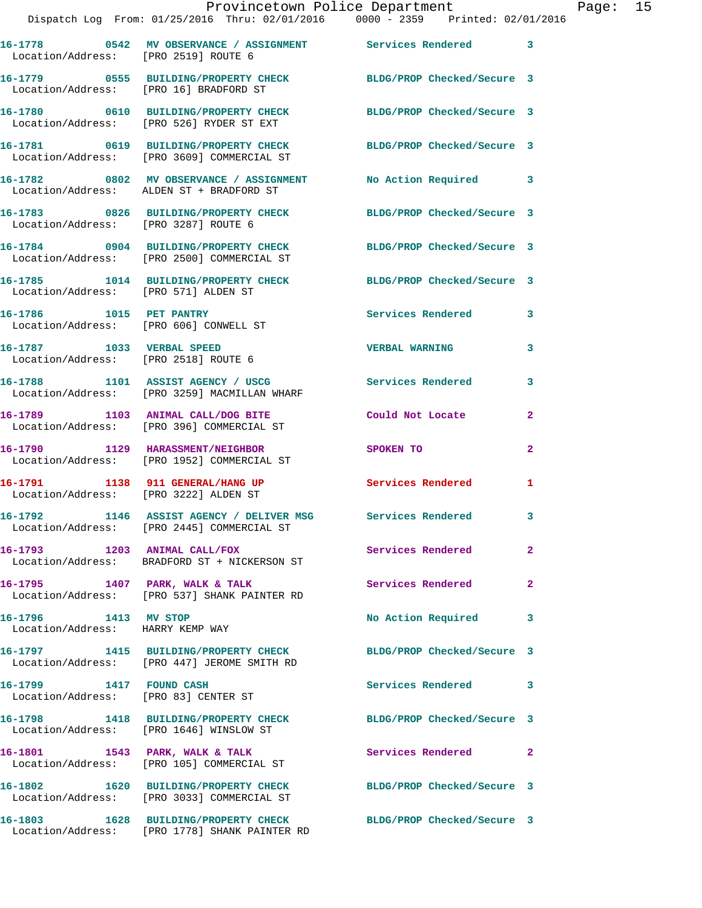|                                                                   | Provincetown Police Department<br>Dispatch Log From: 01/25/2016 Thru: 02/01/2016 0000 - 2359 Printed: 02/01/2016 |                            |                |
|-------------------------------------------------------------------|------------------------------------------------------------------------------------------------------------------|----------------------------|----------------|
|                                                                   |                                                                                                                  |                            |                |
|                                                                   |                                                                                                                  |                            | 3              |
|                                                                   | 16-1779 0555 BUILDING/PROPERTY CHECK BLDG/PROP Checked/Secure 3<br>Location/Address: [PRO 16] BRADFORD ST        |                            |                |
|                                                                   | 16-1780 0610 BUILDING/PROPERTY CHECK<br>Location/Address: [PRO 526] RYDER ST EXT                                 | BLDG/PROP Checked/Secure 3 |                |
|                                                                   | 16-1781 0619 BUILDING/PROPERTY CHECK<br>Location/Address: [PRO 3609] COMMERCIAL ST                               | BLDG/PROP Checked/Secure 3 |                |
|                                                                   | 16-1782 0802 MV OBSERVANCE / ASSIGNMENT No Action Required<br>Location/Address: ALDEN ST + BRADFORD ST           |                            | 3              |
| Location/Address: [PRO 3287] ROUTE 6                              | 16-1783 0826 BUILDING/PROPERTY CHECK BLDG/PROP Checked/Secure 3                                                  |                            |                |
|                                                                   | 16-1784 0904 BUILDING/PROPERTY CHECK BLDG/PROP Checked/Secure 3<br>Location/Address: [PRO 2500] COMMERCIAL ST    |                            |                |
| Location/Address: [PRO 571] ALDEN ST                              | 16-1785 1014 BUILDING/PROPERTY CHECK BLDG/PROP Checked/Secure 3                                                  |                            |                |
| 16-1786 1015 PET PANTRY                                           | Location/Address: [PRO 606] CONWELL ST                                                                           | <b>Services Rendered</b>   | 3              |
| 16-1787 1033 VERBAL SPEED<br>Location/Address: [PRO 2518] ROUTE 6 |                                                                                                                  | <b>VERBAL WARNING</b>      | 3              |
|                                                                   | 16-1788 1101 ASSIST AGENCY / USCG<br>Location/Address: [PRO 3259] MACMILLAN WHARF                                | Services Rendered          | 3              |
|                                                                   | 16-1789 1103 ANIMAL CALL/DOG BITE<br>Location/Address: [PRO 396] COMMERCIAL ST                                   | Could Not Locate           | $\mathbf{2}$   |
|                                                                   | 16-1790 1129 HARASSMENT/NEIGHBOR<br>Location/Address: [PRO 1952] COMMERCIAL ST                                   | <b>SPOKEN TO</b>           | 2              |
| Location/Address: [PRO 3222] ALDEN ST                             | 16-1791 1138 911 GENERAL/HANG UP                                                                                 | Services Rendered          | $\mathbf{1}$   |
|                                                                   | 16-1792 1146 ASSIST AGENCY / DELIVER MSG Services Rendered<br>Location/Address: [PRO 2445] COMMERCIAL ST         |                            |                |
|                                                                   | 16-1793 1203 ANIMAL CALL/FOX<br>Location/Address: BRADFORD ST + NICKERSON ST                                     | Services Rendered          | $\mathbf{2}$   |
| 16-1795 1407 PARK, WALK & TALK                                    | Location/Address: [PRO 537] SHANK PAINTER RD                                                                     | Services Rendered          | $\overline{a}$ |
| 16-1796 1413 MV STOP<br>Location/Address: HARRY KEMP WAY          |                                                                                                                  | No Action Required         | 3              |
|                                                                   | 16-1797 1415 BUILDING/PROPERTY CHECK BLDG/PROP Checked/Secure 3<br>Location/Address: [PRO 447] JEROME SMITH RD   |                            |                |
| 16-1799 1417 FOUND CASH<br>Location/Address: [PRO 83] CENTER ST   |                                                                                                                  | Services Rendered          | 3              |
|                                                                   | 16-1798 1418 BUILDING/PROPERTY CHECK<br>Location/Address: [PRO 1646] WINSLOW ST                                  | BLDG/PROP Checked/Secure 3 |                |
|                                                                   | 16-1801 1543 PARK, WALK & TALK<br>Location/Address: [PRO 105] COMMERCIAL ST                                      | Services Rendered          | $\mathbf{2}$   |
|                                                                   | 16-1802 1620 BUILDING/PROPERTY CHECK<br>Location/Address: [PRO 3033] COMMERCIAL ST                               | BLDG/PROP Checked/Secure 3 |                |
|                                                                   | 16-1803 1628 BUILDING/PROPERTY CHECK                                                                             | BLDG/PROP Checked/Secure 3 |                |

Location/Address: [PRO 1778] SHANK PAINTER RD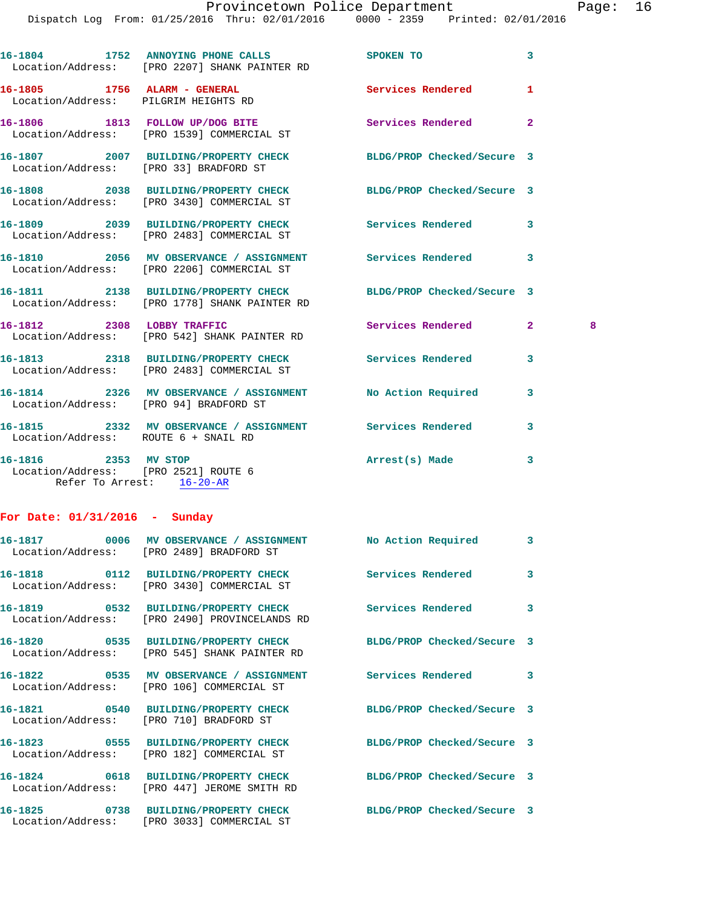|                                                                      | 16-1804 1752 ANNOYING PHONE CALLS<br>Location/Address: [PRO 2207] SHANK PAINTER RD                            | SPOKEN TO                  | 3            |   |
|----------------------------------------------------------------------|---------------------------------------------------------------------------------------------------------------|----------------------------|--------------|---|
| 16-1805 1756 ALARM - GENERAL<br>Location/Address: PILGRIM HEIGHTS RD |                                                                                                               | Services Rendered          | 1            |   |
|                                                                      | 16-1806 1813 FOLLOW UP/DOG BITE<br>Location/Address: [PRO 1539] COMMERCIAL ST                                 | Services Rendered          | $\mathbf{2}$ |   |
|                                                                      | 16-1807 2007 BUILDING/PROPERTY CHECK BLDG/PROP Checked/Secure 3<br>Location/Address: [PRO 33] BRADFORD ST     |                            |              |   |
|                                                                      | 16-1808 2038 BUILDING/PROPERTY CHECK BLDG/PROP Checked/Secure 3<br>Location/Address: [PRO 3430] COMMERCIAL ST |                            |              |   |
|                                                                      | 16-1809 2039 BUILDING/PROPERTY CHECK<br>Location/Address: [PRO 2483] COMMERCIAL ST                            | Services Rendered          | 3            |   |
|                                                                      | 16-1810 2056 MV OBSERVANCE / ASSIGNMENT Services Rendered<br>Location/Address: [PRO 2206] COMMERCIAL ST       |                            | 3            |   |
|                                                                      | 16-1811 2138 BUILDING/PROPERTY CHECK<br>Location/Address: [PRO 1778] SHANK PAINTER RD                         | BLDG/PROP Checked/Secure 3 |              |   |
|                                                                      | 16-1812 2308 LOBBY TRAFFIC<br>Location/Address: [PRO 542] SHANK PAINTER RD                                    | Services Rendered          | $\mathbf{2}$ | 8 |
|                                                                      | 16-1813 2318 BUILDING/PROPERTY CHECK<br>Location/Address: [PRO 2483] COMMERCIAL ST                            | <b>Services Rendered</b>   | 3            |   |
|                                                                      | 16-1814 2326 MV OBSERVANCE / ASSIGNMENT No Action Required<br>Location/Address: [PRO 94] BRADFORD ST          |                            | 3            |   |
| Location/Address: ROUTE 6 + SNAIL RD                                 | 16-1815 2332 MV OBSERVANCE / ASSIGNMENT Services Rendered                                                     |                            | 3            |   |
| 16-1816 2353 MV STOP<br>Location/Address: [PRO 2521] ROUTE 6         | Refer To Arrest: 16-20-AR                                                                                     | Arrest(s) Made             | 3            |   |
| For Date: $01/31/2016$ - Sunday                                      |                                                                                                               |                            |              |   |
|                                                                      | 16-1817 0006 MV OBSERVANCE / ASSIGNMENT No Action Required<br>Location/Address: [PRO 2489] BRADFORD ST        |                            | $\mathbf{3}$ |   |
|                                                                      | 16-1818 0112 BUILDING/PROPERTY CHECK<br>Location/Address: [PRO 3430] COMMERCIAL ST                            | Services Rendered          | 3            |   |
|                                                                      | 16-1819 0532 BUILDING/PROPERTY CHECK<br>Location/Address: [PRO 2490] PROVINCELANDS RD                         | Services Rendered          | 3            |   |
|                                                                      | 16-1820 0535 BUILDING/PROPERTY CHECK<br>Location/Address: [PRO 545] SHANK PAINTER RD                          | BLDG/PROP Checked/Secure 3 |              |   |
|                                                                      | Location/Address: [PRO 106] COMMERCIAL ST                                                                     |                            | 3            |   |
|                                                                      | 16-1821 0540 BUILDING/PROPERTY CHECK<br>Location/Address: [PRO 710] BRADFORD ST                               | BLDG/PROP Checked/Secure 3 |              |   |
|                                                                      | 16-1823 0555 BUILDING/PROPERTY CHECK<br>Location/Address: [PRO 182] COMMERCIAL ST                             | BLDG/PROP Checked/Secure 3 |              |   |
|                                                                      | 16-1824 0618 BUILDING/PROPERTY CHECK<br>Location/Address: [PRO 447] JEROME SMITH RD                           | BLDG/PROP Checked/Secure 3 |              |   |
|                                                                      | 16-1825 0738 BUILDING/PROPERTY CHECK BLDG/PROP Checked/Secure 3<br>Location/Address: [PRO 3033] COMMERCIAL ST |                            |              |   |
|                                                                      |                                                                                                               |                            |              |   |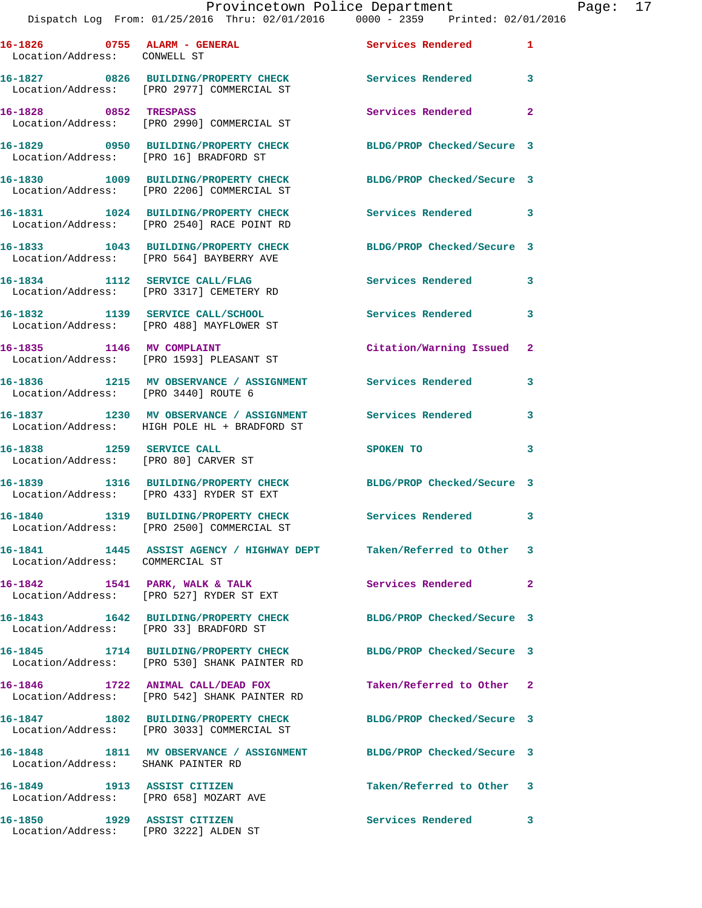Provincetown Police Department Page: 17

|                                                                   | Dispatch Log From: 01/25/2016 Thru: 02/01/2016 0000 - 2359 Printed: 02/01/2016                                  |                            |                |
|-------------------------------------------------------------------|-----------------------------------------------------------------------------------------------------------------|----------------------------|----------------|
| 16-1826 0755 ALARM - GENERAL<br>Location/Address: CONWELL ST      |                                                                                                                 | Services Rendered          | 1              |
|                                                                   | 16-1827 0826 BUILDING/PROPERTY CHECK<br>Location/Address: [PRO 2977] COMMERCIAL ST                              | Services Rendered          | 3              |
| 16-1828 0852 TRESPASS                                             | Location/Address: [PRO 2990] COMMERCIAL ST                                                                      | Services Rendered          | $\mathbf{2}$   |
| Location/Address: [PRO 16] BRADFORD ST                            | 16-1829 0950 BUILDING/PROPERTY CHECK                                                                            | BLDG/PROP Checked/Secure 3 |                |
|                                                                   | 16-1830 1009 BUILDING/PROPERTY CHECK<br>Location/Address: [PRO 2206] COMMERCIAL ST                              | BLDG/PROP Checked/Secure 3 |                |
|                                                                   | 16-1831 1024 BUILDING/PROPERTY CHECK<br>Location/Address: [PRO 2540] RACE POINT RD                              | Services Rendered          | 3              |
|                                                                   | 16-1833 1043 BUILDING/PROPERTY CHECK<br>Location/Address: [PRO 564] BAYBERRY AVE                                | BLDG/PROP Checked/Secure 3 |                |
|                                                                   | 16-1834 1112 SERVICE CALL/FLAG<br>Location/Address: [PRO 3317] CEMETERY RD                                      | <b>Services Rendered</b>   | 3              |
|                                                                   | 16-1832 1139 SERVICE CALL/SCHOOL<br>Location/Address: [PRO 488] MAYFLOWER ST                                    | <b>Services Rendered</b>   | 3              |
|                                                                   | 16-1835 1146 MV COMPLAINT<br>Location/Address: [PRO 1593] PLEASANT ST                                           | Citation/Warning Issued    | $\mathbf{2}$   |
| Location/Address: [PRO 3440] ROUTE 6                              | 16-1836 1215 MV OBSERVANCE / ASSIGNMENT Services Rendered                                                       |                            | 3              |
|                                                                   | 16-1837 1230 MV OBSERVANCE / ASSIGNMENT Services Rendered<br>Location/Address: HIGH POLE HL + BRADFORD ST       |                            | 3              |
| 16-1838 1259 SERVICE CALL<br>Location/Address: [PRO 80] CARVER ST |                                                                                                                 | SPOKEN TO                  | 3              |
|                                                                   | 16-1839 1316 BUILDING/PROPERTY CHECK<br>Location/Address: [PRO 433] RYDER ST EXT                                | BLDG/PROP Checked/Secure 3 |                |
|                                                                   | 16-1840 1319 BUILDING/PROPERTY CHECK<br>Location/Address: [PRO 2500] COMMERCIAL ST                              | Services Rendered          | 3              |
| Location/Address: COMMERCIAL ST                                   | 16-1841 1445 ASSIST AGENCY / HIGHWAY DEPT Taken/Referred to Other                                               |                            | 3              |
|                                                                   | 16-1842 1541 PARK, WALK & TALK<br>Location/Address: [PRO 527] RYDER ST EXT                                      | Services Rendered          | $\overline{a}$ |
| Location/Address: [PRO 33] BRADFORD ST                            | 16-1843 1642 BUILDING/PROPERTY CHECK                                                                            | BLDG/PROP Checked/Secure 3 |                |
|                                                                   | 16-1845 1714 BUILDING/PROPERTY CHECK BLDG/PROP Checked/Secure 3<br>Location/Address: [PRO 530] SHANK PAINTER RD |                            |                |
|                                                                   | 16-1846 1722 ANIMAL CALL/DEAD FOX<br>Location/Address: [PRO 542] SHANK PAINTER RD                               | Taken/Referred to Other    | 2              |
|                                                                   | 16-1847 1802 BUILDING/PROPERTY CHECK<br>Location/Address: [PRO 3033] COMMERCIAL ST                              | BLDG/PROP Checked/Secure 3 |                |
| Location/Address: SHANK PAINTER RD                                | 16-1848 1811 MV OBSERVANCE / ASSIGNMENT BLDG/PROP Checked/Secure 3                                              |                            |                |
| 16-1849 1913 ASSIST CITIZEN                                       | Location/Address: [PRO 658] MOZART AVE                                                                          | Taken/Referred to Other    | 3              |
|                                                                   |                                                                                                                 | <b>Services Rendered</b>   | 3              |

Location/Address: [PRO 3222] ALDEN ST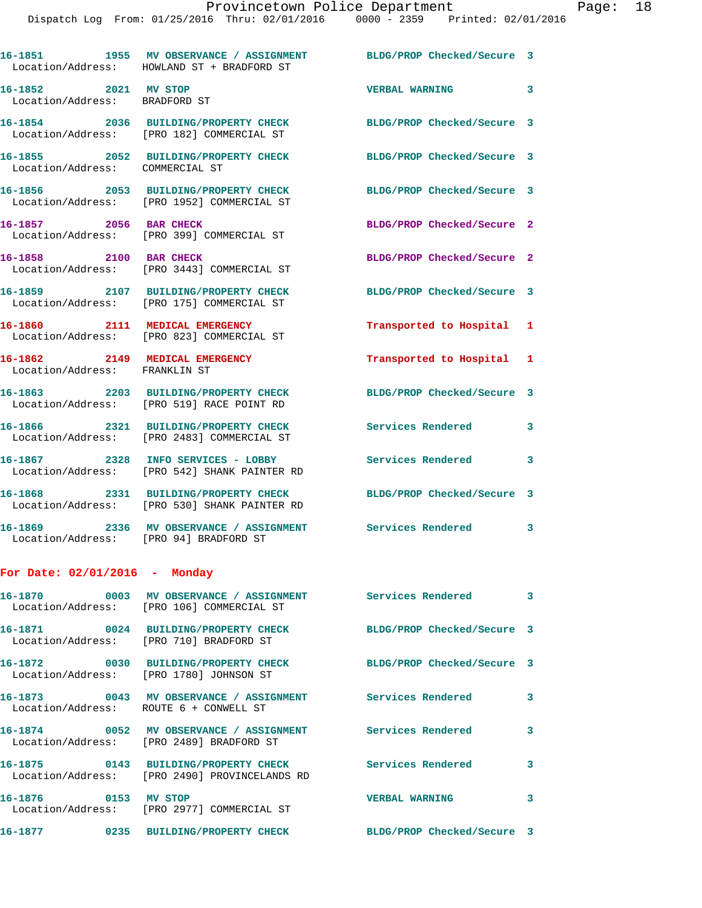|                                                                 | 16-1851 1955 MV OBSERVANCE / ASSIGNMENT BLDG/PROP Checked/Secure 3<br>Location/Address: HOWLAND ST + BRADFORD ST |                                   |                         |
|-----------------------------------------------------------------|------------------------------------------------------------------------------------------------------------------|-----------------------------------|-------------------------|
| 16-1852 2021 MV STOP<br>Location/Address: BRADFORD ST           |                                                                                                                  | <b>VERBAL WARNING</b><br>$\sim$ 3 |                         |
|                                                                 | 16-1854 2036 BUILDING/PROPERTY CHECK<br>Location/Address: [PRO 182] COMMERCIAL ST                                | BLDG/PROP Checked/Secure 3        |                         |
| Location/Address: COMMERCIAL ST                                 | 16-1855 2052 BUILDING/PROPERTY CHECK                                                                             | BLDG/PROP Checked/Secure 3        |                         |
|                                                                 | 16-1856 2053 BUILDING/PROPERTY CHECK<br>Location/Address: [PRO 1952] COMMERCIAL ST                               | BLDG/PROP Checked/Secure 3        |                         |
| 16-1857 2056 BAR CHECK                                          | Location/Address: [PRO 399] COMMERCIAL ST                                                                        | BLDG/PROP Checked/Secure 2        |                         |
| 16-1858 2100 BAR CHECK                                          | Location/Address: [PRO 3443] COMMERCIAL ST                                                                       | BLDG/PROP Checked/Secure 2        |                         |
|                                                                 | 16-1859 2107 BUILDING/PROPERTY CHECK<br>Location/Address: [PRO 175] COMMERCIAL ST                                | BLDG/PROP Checked/Secure 3        |                         |
|                                                                 | 16-1860 2111 MEDICAL EMERGENCY<br>Location/Address: [PRO 823] COMMERCIAL ST                                      | Transported to Hospital 1         |                         |
| 16-1862 2149 MEDICAL EMERGENCY<br>Location/Address: FRANKLIN ST |                                                                                                                  | Transported to Hospital 1         |                         |
|                                                                 | 16-1863 2203 BUILDING/PROPERTY CHECK<br>Location/Address: [PRO 519] RACE POINT RD                                | BLDG/PROP Checked/Secure 3        |                         |
|                                                                 | 16-1866 2321 BUILDING/PROPERTY CHECK<br>Location/Address: [PRO 2483] COMMERCIAL ST                               | <b>Services Rendered</b>          | 3                       |
|                                                                 | 16-1867  2328 INFO SERVICES - LOBBY<br>Location/Address: [PRO 542] SHANK PAINTER RD                              | Services Rendered                 | 3                       |
|                                                                 | 16-1868 2331 BUILDING/PROPERTY CHECK<br>Location/Address: [PRO 530] SHANK PAINTER RD                             | BLDG/PROP Checked/Secure 3        |                         |
| Location/Address: [PRO 94] BRADFORD ST                          | 16-1869 2336 MV OBSERVANCE / ASSIGNMENT                                                                          | Services Rendered                 | 3                       |
| For Date: $02/01/2016$ - Monday                                 |                                                                                                                  |                                   |                         |
|                                                                 | Location/Address: [PRO 106] COMMERCIAL ST                                                                        |                                   |                         |
|                                                                 | 16-1871 0024 BUILDING/PROPERTY CHECK<br>Location/Address: [PRO 710] BRADFORD ST                                  | BLDG/PROP Checked/Secure 3        |                         |
|                                                                 | 16-1872 0030 BUILDING/PROPERTY CHECK<br>Location/Address: [PRO 1780] JOHNSON ST                                  | BLDG/PROP Checked/Secure 3        |                         |
| Location/Address: ROUTE 6 + CONWELL ST                          | 16-1873 0043 MV OBSERVANCE / ASSIGNMENT Services Rendered 3                                                      |                                   |                         |
|                                                                 | 16-1874  0052 MV OBSERVANCE / ASSIGNMENT Services Rendered<br>Location/Address: [PRO 2489] BRADFORD ST           |                                   | 3                       |
|                                                                 | 16-1875   0143 BUILDING/PROPERTY CHECK   Services Rendered<br>Location/Address: [PRO 2490] PROVINCELANDS RD      |                                   | 3                       |
| 16-1876 0153 MV STOP                                            | Location/Address: [PRO 2977] COMMERCIAL ST                                                                       | <b>VERBAL WARNING</b>             | $\overline{\mathbf{3}}$ |
|                                                                 | 16-1877  0235 BUILDING/PROPERTY CHECK                                                                            | BLDG/PROP Checked/Secure 3        |                         |
|                                                                 |                                                                                                                  |                                   |                         |